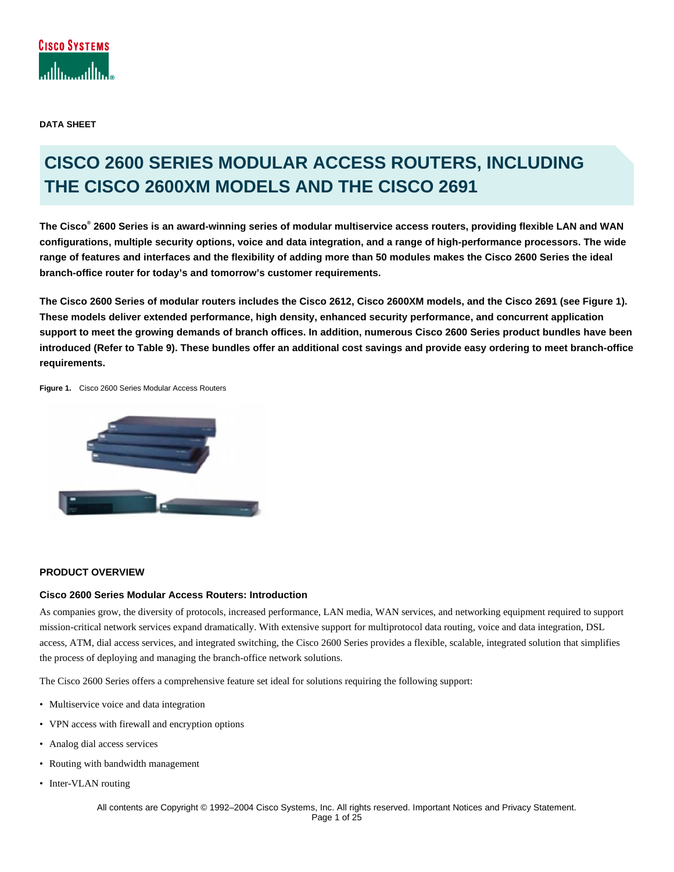

**DATA SHEET** 

# **CISCO 2600 SERIES MODULAR ACCESS ROUTERS, INCLUDING THE CISCO 2600XM MODELS AND THE CISCO 2691**

**The Cisco® 2600 Series is an award-winning series of modular multiservice access routers, providing flexible LAN and WAN configurations, multiple security options, voice and data integration, and a range of high-performance processors. The wide range of features and interfaces and the flexibility of adding more than 50 modules makes the Cisco 2600 Series the ideal branch-office router for today's and tomorrow's customer requirements.** 

**The Cisco 2600 Series of modular routers includes the Cisco 2612, Cisco 2600XM models, and the Cisco 2691 (see Figure 1). These models deliver extended performance, high density, enhanced security performance, and concurrent application support to meet the growing demands of branch offices. In addition, numerous Cisco 2600 Series product bundles have been introduced (Refer to Table 9). These bundles offer an additional cost savings and provide easy ordering to meet branch-office requirements.**

**Figure 1.** Cisco 2600 Series Modular Access Routers



#### **PRODUCT OVERVIEW**

#### **Cisco 2600 Series Modular Access Routers: Introduction**

As companies grow, the diversity of protocols, increased performance, LAN media, WAN services, and networking equipment required to support mission-critical network services expand dramatically. With extensive support for multiprotocol data routing, voice and data integration, DSL access, ATM, dial access services, and integrated switching, the Cisco 2600 Series provides a flexible, scalable, integrated solution that simplifies the process of deploying and managing the branch-office network solutions.

The Cisco 2600 Series offers a comprehensive feature set ideal for solutions requiring the following support:

- Multiservice voice and data integration
- VPN access with firewall and encryption options
- Analog dial access services
- Routing with bandwidth management
- Inter-VLAN routing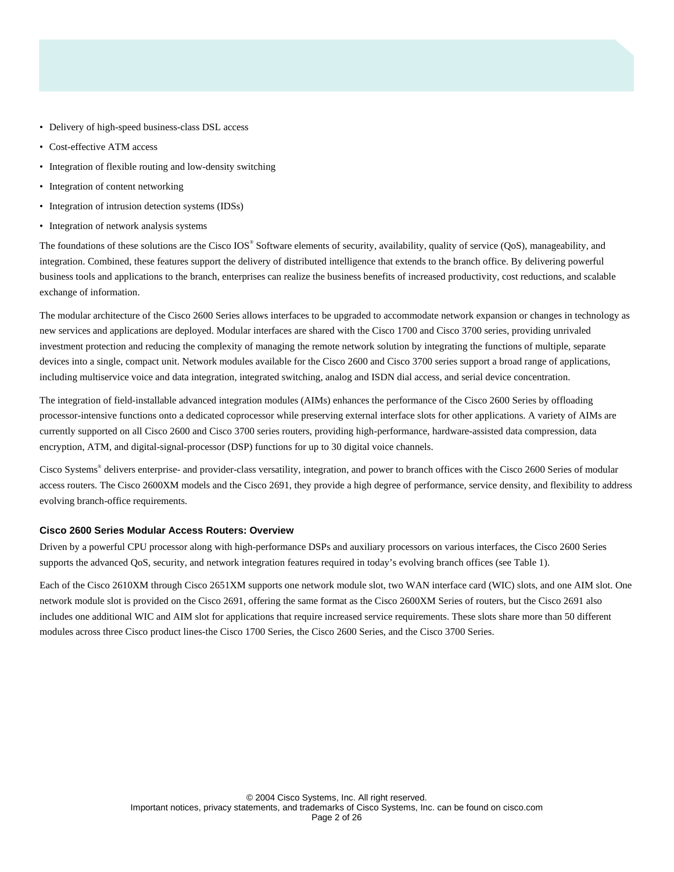- Delivery of high-speed business-class DSL access
- Cost-effective ATM access
- Integration of flexible routing and low-density switching
- Integration of content networking
- Integration of intrusion detection systems (IDSs)
- Integration of network analysis systems

The foundations of these solutions are the Cisco IOS<sup>®</sup> Software elements of security, availability, quality of service (QoS), manageability, and integration. Combined, these features support the delivery of distributed intelligence that extends to the branch office. By delivering powerful business tools and applications to the branch, enterprises can realize the business benefits of increased productivity, cost reductions, and scalable exchange of information.

The modular architecture of the Cisco 2600 Series allows interfaces to be upgraded to accommodate network expansion or changes in technology as new services and applications are deployed. Modular interfaces are shared with the Cisco 1700 and Cisco 3700 series, providing unrivaled investment protection and reducing the complexity of managing the remote network solution by integrating the functions of multiple, separate devices into a single, compact unit. Network modules available for the Cisco 2600 and Cisco 3700 series support a broad range of applications, including multiservice voice and data integration, integrated switching, analog and ISDN dial access, and serial device concentration.

The integration of field-installable advanced integration modules (AIMs) enhances the performance of the Cisco 2600 Series by offloading processor-intensive functions onto a dedicated coprocessor while preserving external interface slots for other applications. A variety of AIMs are currently supported on all Cisco 2600 and Cisco 3700 series routers, providing high-performance, hardware-assisted data compression, data encryption, ATM, and digital-signal-processor (DSP) functions for up to 30 digital voice channels.

Cisco Systems® delivers enterprise- and provider-class versatility, integration, and power to branch offices with the Cisco 2600 Series of modular access routers. The Cisco 2600XM models and the Cisco 2691, they provide a high degree of performance, service density, and flexibility to address evolving branch-office requirements.

#### **Cisco 2600 Series Modular Access Routers: Overview**

Driven by a powerful CPU processor along with high-performance DSPs and auxiliary processors on various interfaces, the Cisco 2600 Series supports the advanced QoS, security, and network integration features required in today's evolving branch offices (see Table 1).

Each of the Cisco 2610XM through Cisco 2651XM supports one network module slot, two WAN interface card (WIC) slots, and one AIM slot. One network module slot is provided on the Cisco 2691, offering the same format as the Cisco 2600XM Series of routers, but the Cisco 2691 also includes one additional WIC and AIM slot for applications that require increased service requirements. These slots share more than 50 different modules across three Cisco product lines-the Cisco 1700 Series, the Cisco 2600 Series, and the Cisco 3700 Series.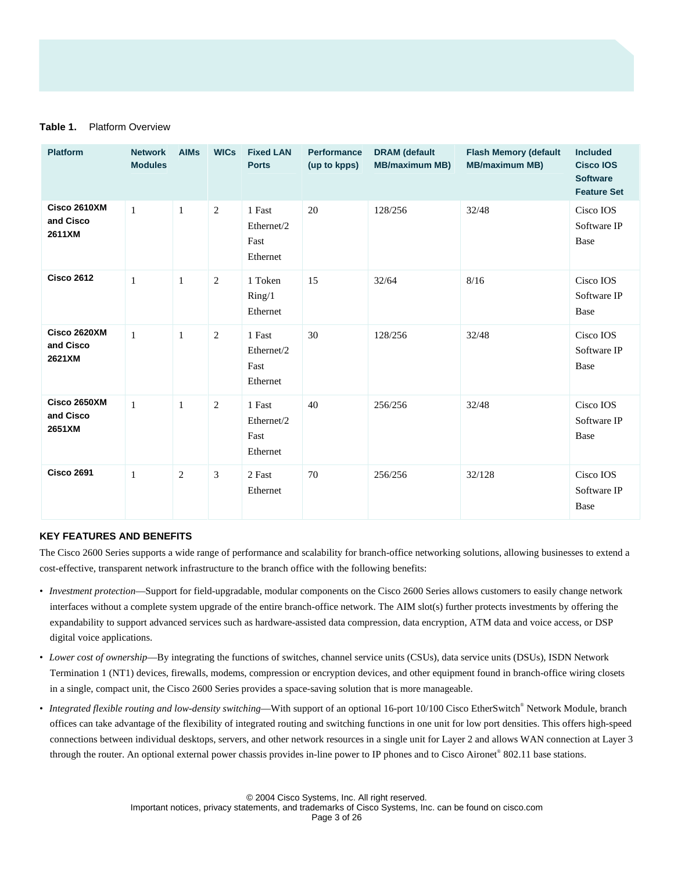#### **Table 1.** Platform Overview

| <b>Platform</b>                            | <b>Network</b><br><b>Modules</b> | <b>AIMs</b>      | <b>WICs</b>    | <b>Fixed LAN</b><br><b>Ports</b>         | Performance<br>(up to kpps) | <b>DRAM</b> (default<br><b>MB/maximum MB)</b> | <b>Flash Memory (default</b><br><b>MB/maximum MB)</b> | <b>Included</b><br><b>Cisco IOS</b><br><b>Software</b><br><b>Feature Set</b> |
|--------------------------------------------|----------------------------------|------------------|----------------|------------------------------------------|-----------------------------|-----------------------------------------------|-------------------------------------------------------|------------------------------------------------------------------------------|
| <b>Cisco 2610XM</b><br>and Cisco<br>2611XM | $\mathbf{1}$                     | $\mathbf{1}$     | $\overline{2}$ | 1 Fast<br>Ethernet/2<br>Fast<br>Ethernet | 20                          | 128/256                                       | 32/48                                                 | Cisco IOS<br>Software IP<br>Base                                             |
| <b>Cisco 2612</b>                          | $\mathbf{1}$                     | $\mathbf{1}$     | $\overline{2}$ | 1 Token<br>Ring/1<br>Ethernet            | 15                          | 32/64                                         | 8/16                                                  | Cisco IOS<br>Software IP<br>Base                                             |
| <b>Cisco 2620XM</b><br>and Cisco<br>2621XM | $\mathbf{1}$                     | $\mathbf{1}$     | 2              | 1 Fast<br>Ethernet/2<br>Fast<br>Ethernet | 30                          | 128/256                                       | 32/48                                                 | Cisco IOS<br>Software IP<br>Base                                             |
| <b>Cisco 2650XM</b><br>and Cisco<br>2651XM | $\mathbf{1}$                     | $\mathbf{1}$     | $\overline{2}$ | 1 Fast<br>Ethernet/2<br>Fast<br>Ethernet | 40                          | 256/256                                       | 32/48                                                 | Cisco IOS<br>Software IP<br>Base                                             |
| <b>Cisco 2691</b>                          | $\mathbf{1}$                     | $\boldsymbol{2}$ | 3              | 2 Fast<br>Ethernet                       | 70                          | 256/256                                       | 32/128                                                | Cisco IOS<br>Software IP<br>Base                                             |

#### **KEY FEATURES AND BENEFITS**

The Cisco 2600 Series supports a wide range of performance and scalability for branch-office networking solutions, allowing businesses to extend a cost-effective, transparent network infrastructure to the branch office with the following benefits:

- *Investment protection*—Support for field-upgradable, modular components on the Cisco 2600 Series allows customers to easily change network interfaces without a complete system upgrade of the entire branch-office network. The AIM slot(s) further protects investments by offering the expandability to support advanced services such as hardware-assisted data compression, data encryption, ATM data and voice access, or DSP digital voice applications.
- *Lower cost of ownership*—By integrating the functions of switches, channel service units (CSUs), data service units (DSUs), ISDN Network Termination 1 (NT1) devices, firewalls, modems, compression or encryption devices, and other equipment found in branch-office wiring closets in a single, compact unit, the Cisco 2600 Series provides a space-saving solution that is more manageable.
- *Integrated flexible routing and low-density switching*—With support of an optional 16-port 10/100 Cisco EtherSwitch® Network Module, branch offices can take advantage of the flexibility of integrated routing and switching functions in one unit for low port densities. This offers high-speed connections between individual desktops, servers, and other network resources in a single unit for Layer 2 and allows WAN connection at Layer 3 through the router. An optional external power chassis provides in-line power to IP phones and to Cisco Aironet® 802.11 base stations.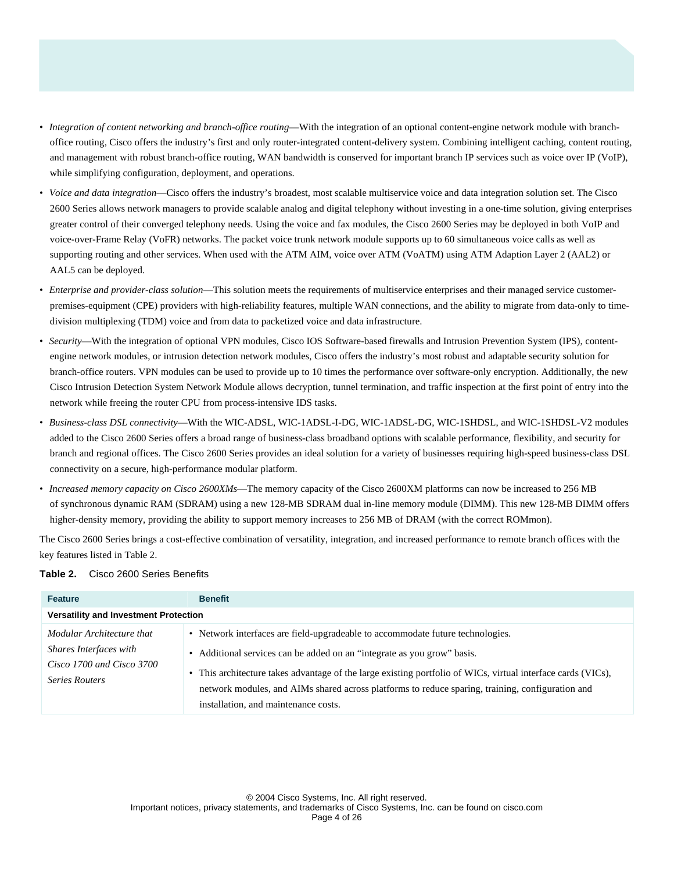- *Integration of content networking and branch-office routing*—With the integration of an optional content-engine network module with branchoffice routing, Cisco offers the industry's first and only router-integrated content-delivery system. Combining intelligent caching, content routing, and management with robust branch-office routing, WAN bandwidth is conserved for important branch IP services such as voice over IP (VoIP), while simplifying configuration, deployment, and operations.
- *Voice and data integration*—Cisco offers the industry's broadest, most scalable multiservice voice and data integration solution set. The Cisco 2600 Series allows network managers to provide scalable analog and digital telephony without investing in a one-time solution, giving enterprises greater control of their converged telephony needs. Using the voice and fax modules, the Cisco 2600 Series may be deployed in both VoIP and voice-over-Frame Relay (VoFR) networks. The packet voice trunk network module supports up to 60 simultaneous voice calls as well as supporting routing and other services. When used with the ATM AIM, voice over ATM (VoATM) using ATM Adaption Layer 2 (AAL2) or AAL5 can be deployed.
- *Enterprise and provider-class solution*—This solution meets the requirements of multiservice enterprises and their managed service customerpremises-equipment (CPE) providers with high-reliability features, multiple WAN connections, and the ability to migrate from data-only to timedivision multiplexing (TDM) voice and from data to packetized voice and data infrastructure.
- *Security*—With the integration of optional VPN modules, Cisco IOS Software-based firewalls and Intrusion Prevention System (IPS), contentengine network modules, or intrusion detection network modules, Cisco offers the industry's most robust and adaptable security solution for branch-office routers. VPN modules can be used to provide up to 10 times the performance over software-only encryption. Additionally, the new Cisco Intrusion Detection System Network Module allows decryption, tunnel termination, and traffic inspection at the first point of entry into the network while freeing the router CPU from process-intensive IDS tasks.
- *Business-class DSL connectivity*—With the WIC-ADSL, WIC-1ADSL-I-DG, WIC-1ADSL-DG, WIC-1SHDSL, and WIC-1SHDSL-V2 modules added to the Cisco 2600 Series offers a broad range of business-class broadband options with scalable performance, flexibility, and security for branch and regional offices. The Cisco 2600 Series provides an ideal solution for a variety of businesses requiring high-speed business-class DSL connectivity on a secure, high-performance modular platform.
- *Increased memory capacity on Cisco 2600XMs*—The memory capacity of the Cisco 2600XM platforms can now be increased to 256 MB of synchronous dynamic RAM (SDRAM) using a new 128-MB SDRAM dual in-line memory module (DIMM). This new 128-MB DIMM offers higher-density memory, providing the ability to support memory increases to 256 MB of DRAM (with the correct ROMmon).

The Cisco 2600 Series brings a cost-effective combination of versatility, integration, and increased performance to remote branch offices with the key features listed in Table 2.

#### **Table 2.** Cisco 2600 Series Benefits

| <b>Feature</b>                                                                                            |
|-----------------------------------------------------------------------------------------------------------|
| <b>Versatility and Investment Protection</b>                                                              |
| Modular Architecture that<br>Shares Interfaces with<br>Cisco 1700 and Cisco 3700<br><b>Series Routers</b> |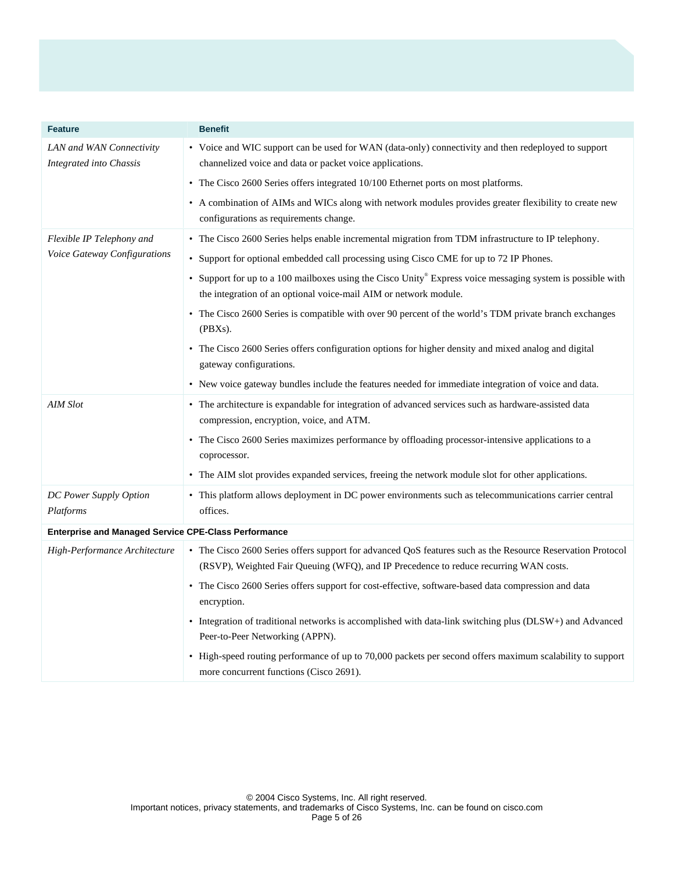| <b>Feature</b>                                              | <b>Benefit</b>                                                                                                                                                                                                                                                                                                                                                                                                                        |  |  |  |  |
|-------------------------------------------------------------|---------------------------------------------------------------------------------------------------------------------------------------------------------------------------------------------------------------------------------------------------------------------------------------------------------------------------------------------------------------------------------------------------------------------------------------|--|--|--|--|
| LAN and WAN Connectivity<br>Integrated into Chassis         | • Voice and WIC support can be used for WAN (data-only) connectivity and then redeployed to support<br>channelized voice and data or packet voice applications.                                                                                                                                                                                                                                                                       |  |  |  |  |
|                                                             | • The Cisco 2600 Series offers integrated 10/100 Ethernet ports on most platforms.                                                                                                                                                                                                                                                                                                                                                    |  |  |  |  |
|                                                             | • A combination of AIMs and WICs along with network modules provides greater flexibility to create new<br>configurations as requirements change.                                                                                                                                                                                                                                                                                      |  |  |  |  |
| Flexible IP Telephony and                                   | • The Cisco 2600 Series helps enable incremental migration from TDM infrastructure to IP telephony.                                                                                                                                                                                                                                                                                                                                   |  |  |  |  |
| Voice Gateway Configurations                                | • Support for optional embedded call processing using Cisco CME for up to 72 IP Phones.                                                                                                                                                                                                                                                                                                                                               |  |  |  |  |
|                                                             | • Support for up to a 100 mailboxes using the Cisco Unity® Express voice messaging system is possible with<br>the integration of an optional voice-mail AIM or network module.                                                                                                                                                                                                                                                        |  |  |  |  |
|                                                             | • The Cisco 2600 Series is compatible with over 90 percent of the world's TDM private branch exchanges<br>(PBXs).                                                                                                                                                                                                                                                                                                                     |  |  |  |  |
|                                                             | • The Cisco 2600 Series offers configuration options for higher density and mixed analog and digital<br>gateway configurations.                                                                                                                                                                                                                                                                                                       |  |  |  |  |
|                                                             | • New voice gateway bundles include the features needed for immediate integration of voice and data.                                                                                                                                                                                                                                                                                                                                  |  |  |  |  |
| <b>AIM Slot</b>                                             | • The architecture is expandable for integration of advanced services such as hardware-assisted data<br>compression, encryption, voice, and ATM.                                                                                                                                                                                                                                                                                      |  |  |  |  |
|                                                             | • The Cisco 2600 Series maximizes performance by offloading processor-intensive applications to a<br>coprocessor.                                                                                                                                                                                                                                                                                                                     |  |  |  |  |
|                                                             | • The AIM slot provides expanded services, freeing the network module slot for other applications.                                                                                                                                                                                                                                                                                                                                    |  |  |  |  |
| DC Power Supply Option<br>Platforms                         | • This platform allows deployment in DC power environments such as telecommunications carrier central<br>offices.                                                                                                                                                                                                                                                                                                                     |  |  |  |  |
| <b>Enterprise and Managed Service CPE-Class Performance</b> |                                                                                                                                                                                                                                                                                                                                                                                                                                       |  |  |  |  |
| High-Performance Architecture                               | • The Cisco 2600 Series offers support for advanced QoS features such as the Resource Reservation Protocol<br>(RSVP), Weighted Fair Queuing (WFQ), and IP Precedence to reduce recurring WAN costs.<br>• The Cisco 2600 Series offers support for cost-effective, software-based data compression and data<br>encryption.<br>• Integration of traditional networks is accomplished with data-link switching plus (DLSW+) and Advanced |  |  |  |  |
|                                                             | Peer-to-Peer Networking (APPN).                                                                                                                                                                                                                                                                                                                                                                                                       |  |  |  |  |
|                                                             | • High-speed routing performance of up to 70,000 packets per second offers maximum scalability to support<br>more concurrent functions (Cisco 2691).                                                                                                                                                                                                                                                                                  |  |  |  |  |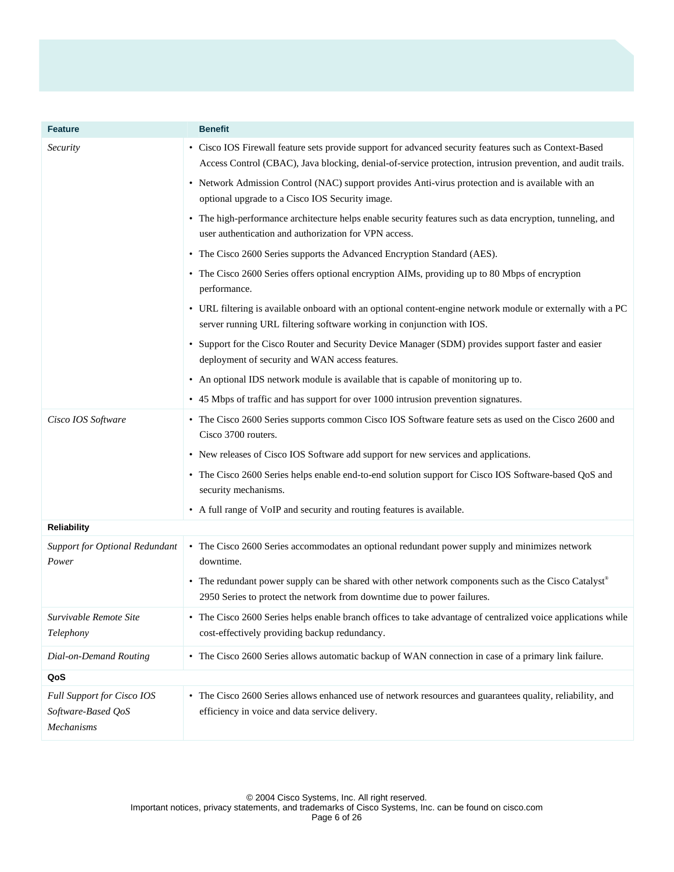| <b>Feature</b>                                                 | <b>Benefit</b>                                                                                                                                                                                                        |
|----------------------------------------------------------------|-----------------------------------------------------------------------------------------------------------------------------------------------------------------------------------------------------------------------|
| Security                                                       | • Cisco IOS Firewall feature sets provide support for advanced security features such as Context-Based<br>Access Control (CBAC), Java blocking, denial-of-service protection, intrusion prevention, and audit trails. |
|                                                                | • Network Admission Control (NAC) support provides Anti-virus protection and is available with an<br>optional upgrade to a Cisco IOS Security image.                                                                  |
|                                                                | • The high-performance architecture helps enable security features such as data encryption, tunneling, and<br>user authentication and authorization for VPN access.                                                   |
|                                                                | • The Cisco 2600 Series supports the Advanced Encryption Standard (AES).                                                                                                                                              |
|                                                                | • The Cisco 2600 Series offers optional encryption AIMs, providing up to 80 Mbps of encryption<br>performance.                                                                                                        |
|                                                                | • URL filtering is available onboard with an optional content-engine network module or externally with a PC<br>server running URL filtering software working in conjunction with IOS.                                 |
|                                                                | • Support for the Cisco Router and Security Device Manager (SDM) provides support faster and easier<br>deployment of security and WAN access features.                                                                |
|                                                                | • An optional IDS network module is available that is capable of monitoring up to.                                                                                                                                    |
|                                                                | • 45 Mbps of traffic and has support for over 1000 intrusion prevention signatures.                                                                                                                                   |
| Cisco IOS Software                                             | • The Cisco 2600 Series supports common Cisco IOS Software feature sets as used on the Cisco 2600 and<br>Cisco 3700 routers.                                                                                          |
|                                                                | • New releases of Cisco IOS Software add support for new services and applications.                                                                                                                                   |
|                                                                | • The Cisco 2600 Series helps enable end-to-end solution support for Cisco IOS Software-based QoS and<br>security mechanisms.                                                                                         |
|                                                                | • A full range of VoIP and security and routing features is available.                                                                                                                                                |
| <b>Reliability</b>                                             |                                                                                                                                                                                                                       |
| <b>Support for Optional Redundant</b><br>Power                 | • The Cisco 2600 Series accommodates an optional redundant power supply and minimizes network<br>downtime.                                                                                                            |
|                                                                | • The redundant power supply can be shared with other network components such as the Cisco Catalyst®<br>2950 Series to protect the network from downtime due to power failures.                                       |
| Survivable Remote Site<br>Telephony                            | • The Cisco 2600 Series helps enable branch offices to take advantage of centralized voice applications while<br>cost-effectively providing backup redundancy.                                                        |
| Dial-on-Demand Routing                                         | • The Cisco 2600 Series allows automatic backup of WAN connection in case of a primary link failure.                                                                                                                  |
| QoS                                                            |                                                                                                                                                                                                                       |
| Full Support for Cisco IOS<br>Software-Based QoS<br>Mechanisms | • The Cisco 2600 Series allows enhanced use of network resources and guarantees quality, reliability, and<br>efficiency in voice and data service delivery.                                                           |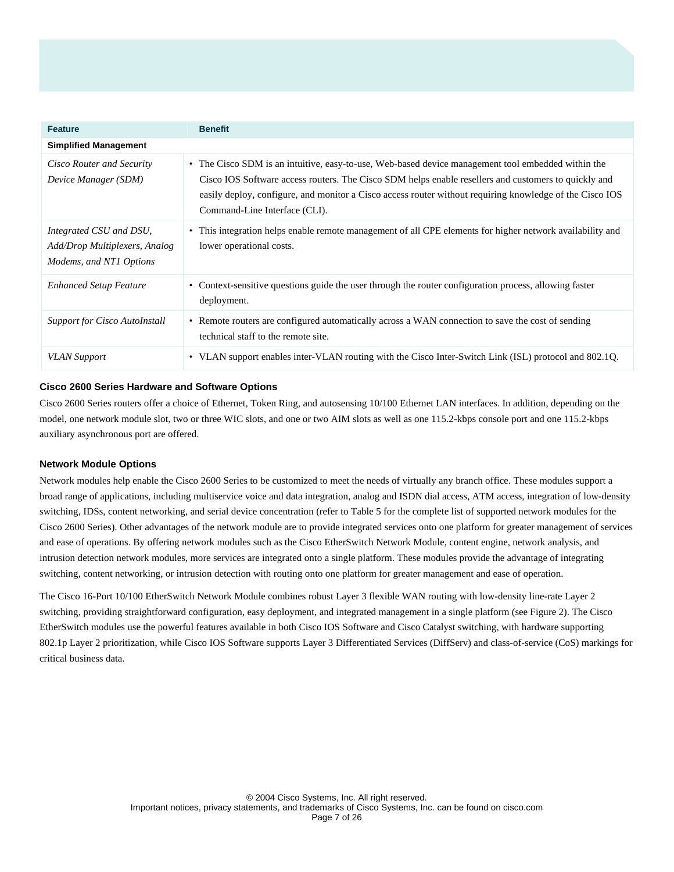| <b>Feature</b>                                                                      | <b>Benefit</b>                                                                                                                                                                                                                                                                                                                                          |
|-------------------------------------------------------------------------------------|---------------------------------------------------------------------------------------------------------------------------------------------------------------------------------------------------------------------------------------------------------------------------------------------------------------------------------------------------------|
| <b>Simplified Management</b>                                                        |                                                                                                                                                                                                                                                                                                                                                         |
| Cisco Router and Security<br>Device Manager (SDM)                                   | • The Cisco SDM is an intuitive, easy-to-use, Web-based device management tool embedded within the<br>Cisco IOS Software access routers. The Cisco SDM helps enable resellers and customers to quickly and<br>easily deploy, configure, and monitor a Cisco access router without requiring knowledge of the Cisco IOS<br>Command-Line Interface (CLI). |
| Integrated CSU and DSU,<br>Add/Drop Multiplexers, Analog<br>Modems, and NT1 Options | • This integration helps enable remote management of all CPE elements for higher network availability and<br>lower operational costs.                                                                                                                                                                                                                   |
| <b>Enhanced Setup Feature</b>                                                       | • Context-sensitive questions guide the user through the router configuration process, allowing faster<br>deployment.                                                                                                                                                                                                                                   |
| <b>Support for Cisco AutoInstall</b>                                                | • Remote routers are configured automatically across a WAN connection to save the cost of sending<br>technical staff to the remote site.                                                                                                                                                                                                                |
| <i>VLAN Support</i>                                                                 | • VLAN support enables inter-VLAN routing with the Cisco Inter-Switch Link (ISL) protocol and 802.1Q.                                                                                                                                                                                                                                                   |

#### **Cisco 2600 Series Hardware and Software Options**

Cisco 2600 Series routers offer a choice of Ethernet, Token Ring, and autosensing 10/100 Ethernet LAN interfaces. In addition, depending on the model, one network module slot, two or three WIC slots, and one or two AIM slots as well as one 115.2-kbps console port and one 115.2-kbps auxiliary asynchronous port are offered.

#### **Network Module Options**

Network modules help enable the Cisco 2600 Series to be customized to meet the needs of virtually any branch office. These modules support a broad range of applications, including multiservice voice and data integration, analog and ISDN dial access, ATM access, integration of low-density switching, IDSs, content networking, and serial device concentration (refer to Table 5 for the complete list of supported network modules for the Cisco 2600 Series). Other advantages of the network module are to provide integrated services onto one platform for greater management of services and ease of operations. By offering network modules such as the Cisco EtherSwitch Network Module, content engine, network analysis, and intrusion detection network modules, more services are integrated onto a single platform. These modules provide the advantage of integrating switching, content networking, or intrusion detection with routing onto one platform for greater management and ease of operation.

The Cisco 16-Port 10/100 EtherSwitch Network Module combines robust Layer 3 flexible WAN routing with low-density line-rate Layer 2 switching, providing straightforward configuration, easy deployment, and integrated management in a single platform (see Figure 2). The Cisco EtherSwitch modules use the powerful features available in both Cisco IOS Software and Cisco Catalyst switching, with hardware supporting 802.1p Layer 2 prioritization, while Cisco IOS Software supports Layer 3 Differentiated Services (DiffServ) and class-of-service (CoS) markings for critical business data.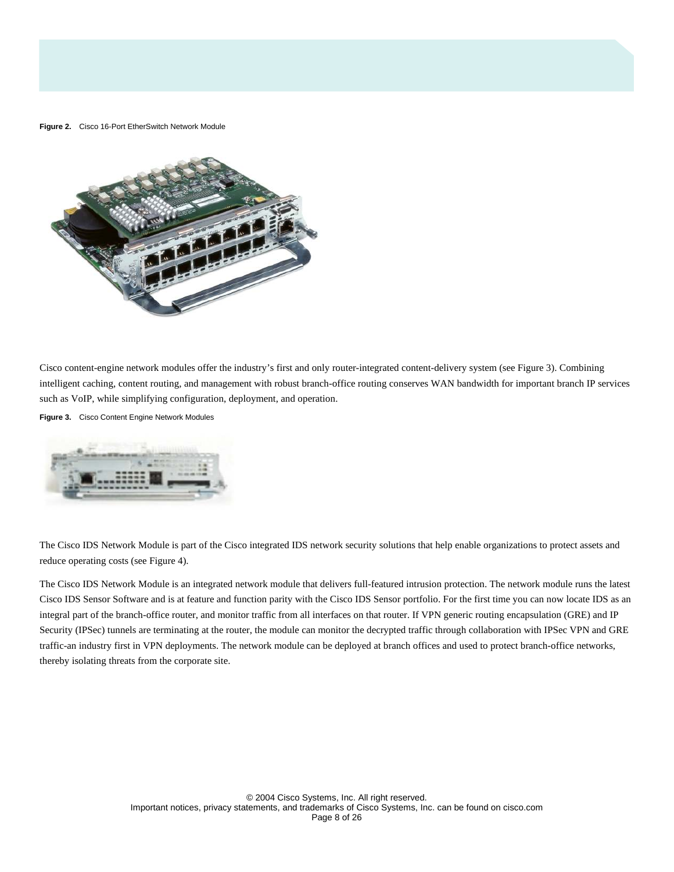**Figure 2.** Cisco 16-Port EtherSwitch Network Module



Cisco content-engine network modules offer the industry's first and only router-integrated content-delivery system (see Figure 3). Combining intelligent caching, content routing, and management with robust branch-office routing conserves WAN bandwidth for important branch IP services such as VoIP, while simplifying configuration, deployment, and operation.

**Figure 3.** Cisco Content Engine Network Modules



The Cisco IDS Network Module is part of the Cisco integrated IDS network security solutions that help enable organizations to protect assets and reduce operating costs (see Figure 4).

The Cisco IDS Network Module is an integrated network module that delivers full-featured intrusion protection. The network module runs the latest Cisco IDS Sensor Software and is at feature and function parity with the Cisco IDS Sensor portfolio. For the first time you can now locate IDS as an integral part of the branch-office router, and monitor traffic from all interfaces on that router. If VPN generic routing encapsulation (GRE) and IP Security (IPSec) tunnels are terminating at the router, the module can monitor the decrypted traffic through collaboration with IPSec VPN and GRE traffic-an industry first in VPN deployments. The network module can be deployed at branch offices and used to protect branch-office networks, thereby isolating threats from the corporate site.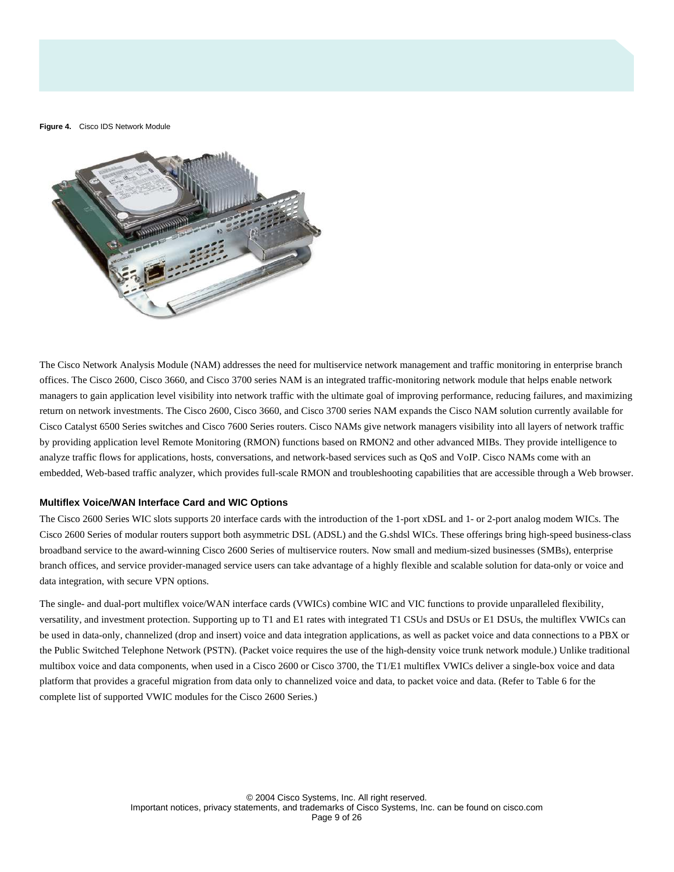**Figure 4.** Cisco IDS Network Module



The Cisco Network Analysis Module (NAM) addresses the need for multiservice network management and traffic monitoring in enterprise branch offices. The Cisco 2600, Cisco 3660, and Cisco 3700 series NAM is an integrated traffic-monitoring network module that helps enable network managers to gain application level visibility into network traffic with the ultimate goal of improving performance, reducing failures, and maximizing return on network investments. The Cisco 2600, Cisco 3660, and Cisco 3700 series NAM expands the Cisco NAM solution currently available for Cisco Catalyst 6500 Series switches and Cisco 7600 Series routers. Cisco NAMs give network managers visibility into all layers of network traffic by providing application level Remote Monitoring (RMON) functions based on RMON2 and other advanced MIBs. They provide intelligence to analyze traffic flows for applications, hosts, conversations, and network-based services such as QoS and VoIP. Cisco NAMs come with an embedded, Web-based traffic analyzer, which provides full-scale RMON and troubleshooting capabilities that are accessible through a Web browser.

#### **Multiflex Voice/WAN Interface Card and WIC Options**

The Cisco 2600 Series WIC slots supports 20 interface cards with the introduction of the 1-port xDSL and 1- or 2-port analog modem WICs. The Cisco 2600 Series of modular routers support both asymmetric DSL (ADSL) and the G.shdsl WICs. These offerings bring high-speed business-class broadband service to the award-winning Cisco 2600 Series of multiservice routers. Now small and medium-sized businesses (SMBs), enterprise branch offices, and service provider-managed service users can take advantage of a highly flexible and scalable solution for data-only or voice and data integration, with secure VPN options.

The single- and dual-port multiflex voice/WAN interface cards (VWICs) combine WIC and VIC functions to provide unparalleled flexibility, versatility, and investment protection. Supporting up to T1 and E1 rates with integrated T1 CSUs and DSUs or E1 DSUs, the multiflex VWICs can be used in data-only, channelized (drop and insert) voice and data integration applications, as well as packet voice and data connections to a PBX or the Public Switched Telephone Network (PSTN). (Packet voice requires the use of the high-density voice trunk network module.) Unlike traditional multibox voice and data components, when used in a Cisco 2600 or Cisco 3700, the T1/E1 multiflex VWICs deliver a single-box voice and data platform that provides a graceful migration from data only to channelized voice and data, to packet voice and data. (Refer to Table 6 for the complete list of supported VWIC modules for the Cisco 2600 Series.)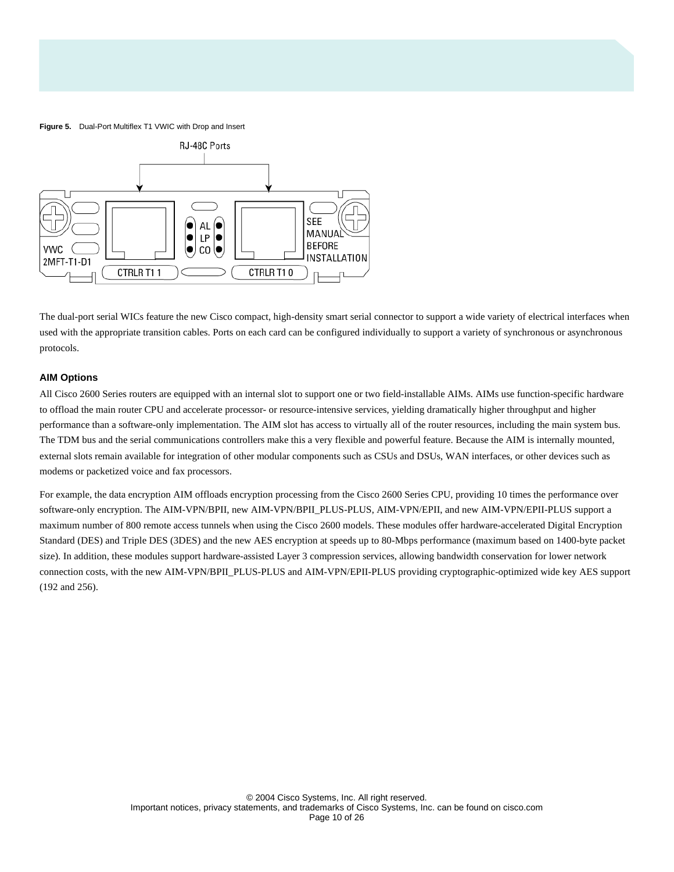#### **Figure 5.** Dual-Port Multiflex T1 VWIC with Drop and Insert



The dual-port serial WICs feature the new Cisco compact, high-density smart serial connector to support a wide variety of electrical interfaces when used with the appropriate transition cables. Ports on each card can be configured individually to support a variety of synchronous or asynchronous protocols.

#### **AIM Options**

All Cisco 2600 Series routers are equipped with an internal slot to support one or two field-installable AIMs. AIMs use function-specific hardware to offload the main router CPU and accelerate processor- or resource-intensive services, yielding dramatically higher throughput and higher performance than a software-only implementation. The AIM slot has access to virtually all of the router resources, including the main system bus. The TDM bus and the serial communications controllers make this a very flexible and powerful feature. Because the AIM is internally mounted, external slots remain available for integration of other modular components such as CSUs and DSUs, WAN interfaces, or other devices such as modems or packetized voice and fax processors.

For example, the data encryption AIM offloads encryption processing from the Cisco 2600 Series CPU, providing 10 times the performance over software-only encryption. The AIM-VPN/BPII, new AIM-VPN/BPII\_PLUS-PLUS, AIM-VPN/EPII, and new AIM-VPN/EPII-PLUS support a maximum number of 800 remote access tunnels when using the Cisco 2600 models. These modules offer hardware-accelerated Digital Encryption Standard (DES) and Triple DES (3DES) and the new AES encryption at speeds up to 80-Mbps performance (maximum based on 1400-byte packet size). In addition, these modules support hardware-assisted Layer 3 compression services, allowing bandwidth conservation for lower network connection costs, with the new AIM-VPN/BPII\_PLUS-PLUS and AIM-VPN/EPII-PLUS providing cryptographic-optimized wide key AES support (192 and 256).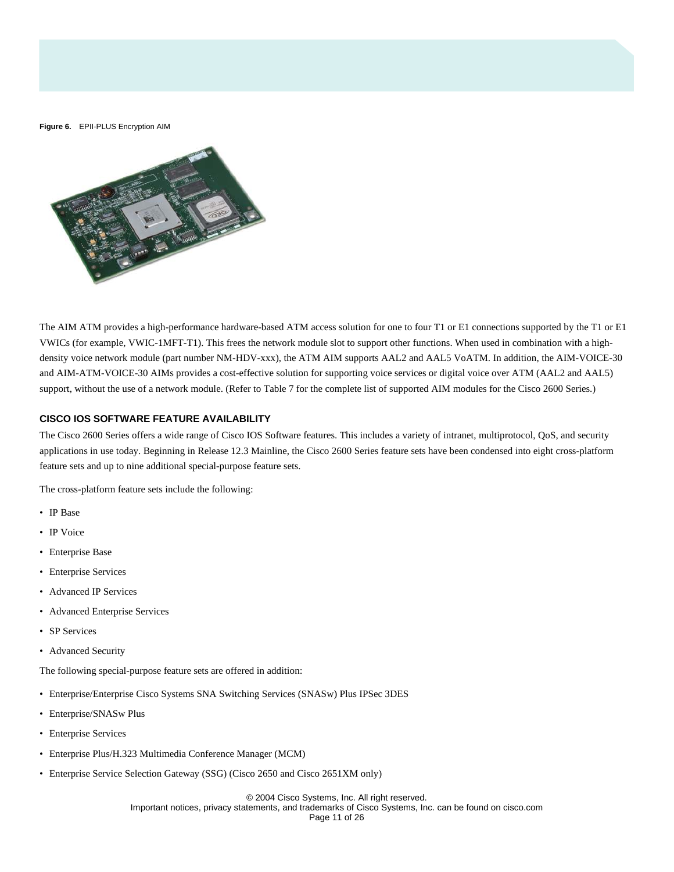**Figure 6.** EPII-PLUS Encryption AIM



The AIM ATM provides a high-performance hardware-based ATM access solution for one to four T1 or E1 connections supported by the T1 or E1 VWICs (for example, VWIC-1MFT-T1). This frees the network module slot to support other functions. When used in combination with a highdensity voice network module (part number NM-HDV-xxx), the ATM AIM supports AAL2 and AAL5 VoATM. In addition, the AIM-VOICE-30 and AIM-ATM-VOICE-30 AIMs provides a cost-effective solution for supporting voice services or digital voice over ATM (AAL2 and AAL5) support, without the use of a network module. (Refer to Table 7 for the complete list of supported AIM modules for the Cisco 2600 Series.)

#### **CISCO IOS SOFTWARE FEATURE AVAILABILITY**

The Cisco 2600 Series offers a wide range of Cisco IOS Software features. This includes a variety of intranet, multiprotocol, QoS, and security applications in use today. Beginning in Release 12.3 Mainline, the Cisco 2600 Series feature sets have been condensed into eight cross-platform feature sets and up to nine additional special-purpose feature sets.

The cross-platform feature sets include the following:

- IP Base
- IP Voice
- Enterprise Base
- Enterprise Services
- Advanced IP Services
- Advanced Enterprise Services
- SP Services
- Advanced Security

The following special-purpose feature sets are offered in addition:

- Enterprise/Enterprise Cisco Systems SNA Switching Services (SNASw) Plus IPSec 3DES
- Enterprise/SNASw Plus
- Enterprise Services
- Enterprise Plus/H.323 Multimedia Conference Manager (MCM)
- Enterprise Service Selection Gateway (SSG) (Cisco 2650 and Cisco 2651XM only)

© 2004 Cisco Systems, Inc. All right reserved. Important notices, privacy statements, and trademarks of Cisco Systems, Inc. can be found on cisco.com Page 11 of 26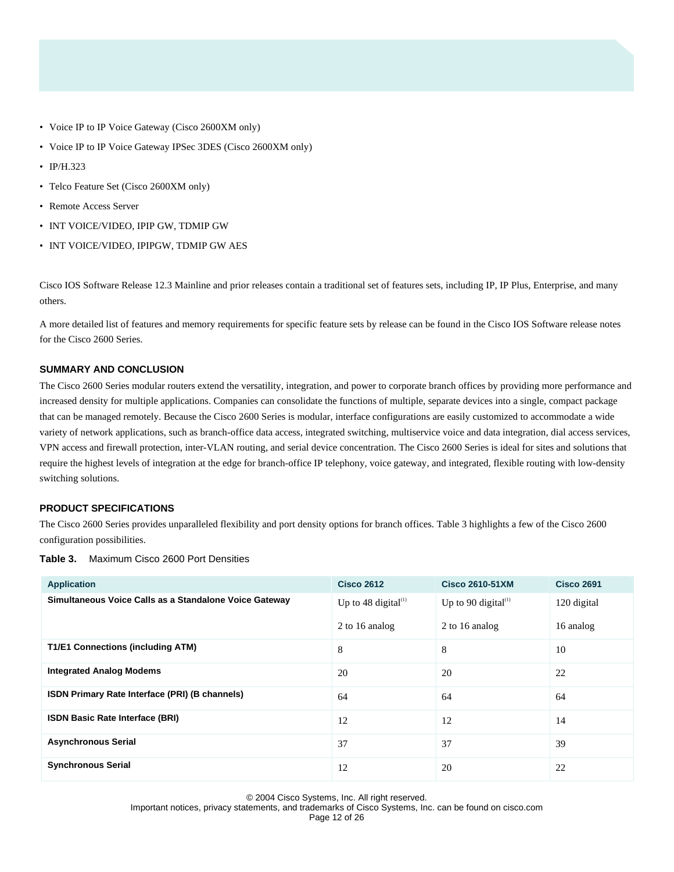- Voice IP to IP Voice Gateway (Cisco 2600XM only)
- Voice IP to IP Voice Gateway IPSec 3DES (Cisco 2600XM only)
- IP/H.323
- Telco Feature Set (Cisco 2600XM only)
- Remote Access Server
- INT VOICE/VIDEO, IPIP GW, TDMIP GW
- INT VOICE/VIDEO, IPIPGW, TDMIP GW AES

Cisco IOS Software Release 12.3 Mainline and prior releases contain a traditional set of features sets, including IP, IP Plus, Enterprise, and many others.

A more detailed list of features and memory requirements for specific feature sets by release can be found in the Cisco IOS Software release notes for the Cisco 2600 Series.

#### **SUMMARY AND CONCLUSION**

The Cisco 2600 Series modular routers extend the versatility, integration, and power to corporate branch offices by providing more performance and increased density for multiple applications. Companies can consolidate the functions of multiple, separate devices into a single, compact package that can be managed remotely. Because the Cisco 2600 Series is modular, interface configurations are easily customized to accommodate a wide variety of network applications, such as branch-office data access, integrated switching, multiservice voice and data integration, dial access services, VPN access and firewall protection, inter-VLAN routing, and serial device concentration. The Cisco 2600 Series is ideal for sites and solutions that require the highest levels of integration at the edge for branch-office IP telephony, voice gateway, and integrated, flexible routing with low-density switching solutions.

#### **PRODUCT SPECIFICATIONS**

The Cisco 2600 Series provides unparalleled flexibility and port density options for branch offices. Table 3 highlights a few of the Cisco 2600 configuration possibilities.

#### **Table 3.** Maximum Cisco 2600 Port Densities

| <b>Application</b>                                     | <b>Cisco 2612</b>         | <b>Cisco 2610-51XM</b>    | <b>Cisco 2691</b> |
|--------------------------------------------------------|---------------------------|---------------------------|-------------------|
| Simultaneous Voice Calls as a Standalone Voice Gateway | Up to 48 digital $^{(1)}$ | Up to 90 digital $^{(1)}$ | 120 digital       |
|                                                        | 2 to 16 analog            | 2 to 16 analog            | 16 analog         |
| <b>T1/E1 Connections (including ATM)</b>               | 8                         | 8                         | 10                |
| <b>Integrated Analog Modems</b>                        | 20                        | 20                        | 22                |
| ISDN Primary Rate Interface (PRI) (B channels)         | 64                        | 64                        | 64                |
| <b>ISDN Basic Rate Interface (BRI)</b>                 | 12                        | 12                        | 14                |
| <b>Asynchronous Serial</b>                             | 37                        | 37                        | 39                |
| <b>Synchronous Serial</b>                              | 12                        | 20                        | 22                |

© 2004 Cisco Systems, Inc. All right reserved. Important notices, privacy statements, and trademarks of Cisco Systems, Inc. can be found on cisco.com Page 12 of 26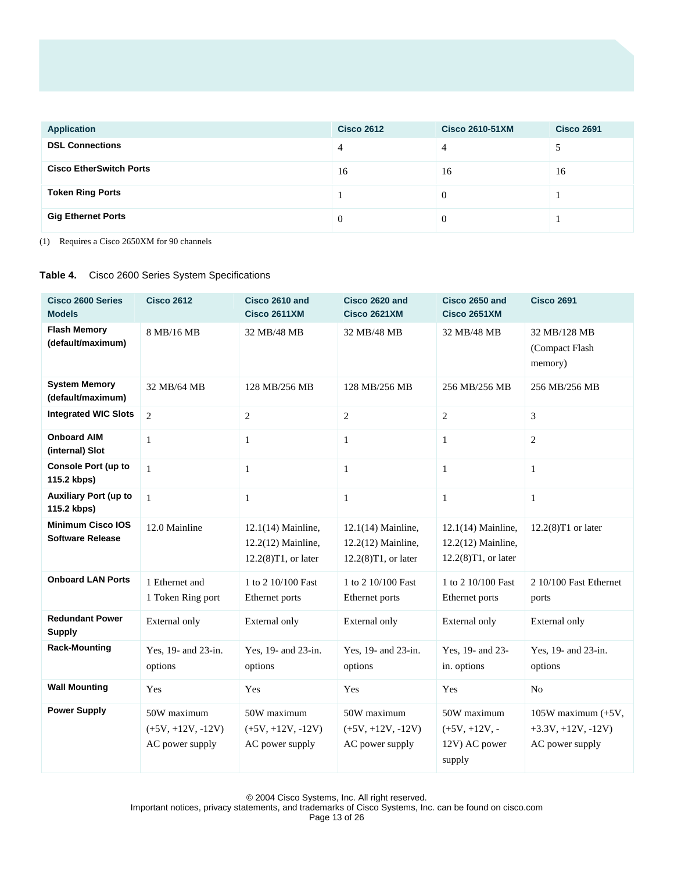| <b>Application</b>             | <b>Cisco 2612</b> | <b>Cisco 2610-51XM</b> | <b>Cisco 2691</b> |
|--------------------------------|-------------------|------------------------|-------------------|
| <b>DSL Connections</b>         | 4                 | $\overline{4}$         | C.                |
| <b>Cisco EtherSwitch Ports</b> | 16                | 16                     | 16                |
| <b>Token Ring Ports</b>        |                   | v                      |                   |
| <b>Gig Ethernet Ports</b>      | $\overline{0}$    | $\theta$               |                   |

(1) Requires a Cisco 2650XM for 90 channels

**Table 4.** Cisco 2600 Series System Specifications

| Cisco 2600 Series<br><b>Models</b>                  | <b>Cisco 2612</b>                                     | Cisco 2610 and<br><b>Cisco 2611XM</b>                                  | Cisco 2620 and<br><b>Cisco 2621XM</b>                                  | Cisco 2650 and<br><b>Cisco 2651XM</b>                                  | <b>Cisco 2691</b>                                             |
|-----------------------------------------------------|-------------------------------------------------------|------------------------------------------------------------------------|------------------------------------------------------------------------|------------------------------------------------------------------------|---------------------------------------------------------------|
| <b>Flash Memory</b><br>(default/maximum)            | 8 MB/16 MB                                            | 32 MB/48 MB                                                            | 32 MB/48 MB                                                            | 32 MB/48 MB                                                            | 32 MB/128 MB<br>(Compact Flash<br>memory)                     |
| <b>System Memory</b><br>(default/maximum)           | 32 MB/64 MB                                           | 128 MB/256 MB                                                          | 128 MB/256 MB                                                          | 256 MB/256 MB                                                          | 256 MB/256 MB                                                 |
| <b>Integrated WIC Slots</b>                         | $\overline{2}$                                        | $\mathbf{2}$                                                           | $\overline{c}$                                                         | $\overline{c}$                                                         | 3                                                             |
| <b>Onboard AIM</b><br>(internal) Slot               | $\mathbf{1}$                                          | $\mathbf{1}$                                                           | $\mathbf{1}$                                                           | $\mathbf{1}$                                                           | 2                                                             |
| Console Port (up to<br>115.2 kbps)                  | $\mathbf{1}$                                          | $\mathbf{1}$                                                           | $\mathbf{1}$                                                           | $\mathbf{1}$                                                           | $\mathbf{1}$                                                  |
| <b>Auxiliary Port (up to</b><br>115.2 kbps)         | $\mathbf{1}$                                          | $\mathbf{1}$                                                           | $\mathbf{1}$                                                           | $\mathbf{1}$                                                           | $\mathbf{1}$                                                  |
| <b>Minimum Cisco IOS</b><br><b>Software Release</b> | 12.0 Mainline                                         | $12.1(14)$ Mainline,<br>$12.2(12)$ Mainline,<br>$12.2(8)T1$ , or later | $12.1(14)$ Mainline,<br>$12.2(12)$ Mainline,<br>$12.2(8)T1$ , or later | $12.1(14)$ Mainline,<br>$12.2(12)$ Mainline,<br>$12.2(8)T1$ , or later | $12.2(8)T1$ or later                                          |
| <b>Onboard LAN Ports</b>                            | 1 Ethernet and<br>1 Token Ring port                   | 1 to 2 10/100 Fast<br>Ethernet ports                                   | 1 to 2 10/100 Fast<br>Ethernet ports                                   | 1 to 2 10/100 Fast<br>Ethernet ports                                   | 2 10/100 Fast Ethernet<br>ports                               |
| <b>Redundant Power</b><br><b>Supply</b>             | External only                                         | External only                                                          | External only                                                          | External only                                                          | External only                                                 |
| <b>Rack-Mounting</b>                                | Yes, 19- and 23-in.<br>options                        | Yes, 19- and 23-in.<br>options                                         | Yes, 19- and 23-in.<br>options                                         | Yes, 19- and 23-<br>in. options                                        | Yes, 19- and 23-in.<br>options                                |
| <b>Wall Mounting</b>                                | Yes                                                   | Yes                                                                    | Yes                                                                    | Yes                                                                    | No                                                            |
| <b>Power Supply</b>                                 | 50W maximum<br>$(+5V, +12V, -12V)$<br>AC power supply | 50W maximum<br>$(+5V, +12V, -12V)$<br>AC power supply                  | 50W maximum<br>$(+5V, +12V, -12V)$<br>AC power supply                  | 50W maximum<br>$(+5V, +12V, -$<br>12V) AC power<br>supply              | 105W maximum (+5V,<br>$+3.3V, +12V, -12V)$<br>AC power supply |

Important notices, privacy statements, and trademarks of Cisco Systems, Inc. can be found on cisco.com

Page 13 of 26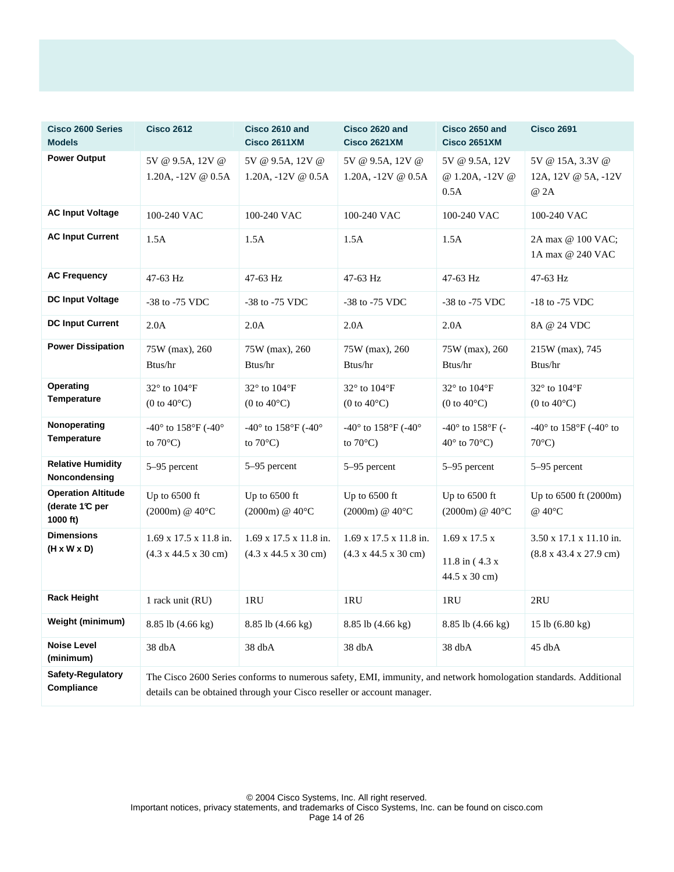| <b>Cisco 2600 Series</b><br><b>Models</b>               | <b>Cisco 2612</b>                                                                                                                                                                           | Cisco 2610 and<br><b>Cisco 2611XM</b>                                          | Cisco 2620 and<br><b>Cisco 2621XM</b>                                          | Cisco 2650 and<br><b>Cisco 2651XM</b>                                   | <b>Cisco 2691</b>                                                                 |  |
|---------------------------------------------------------|---------------------------------------------------------------------------------------------------------------------------------------------------------------------------------------------|--------------------------------------------------------------------------------|--------------------------------------------------------------------------------|-------------------------------------------------------------------------|-----------------------------------------------------------------------------------|--|
| <b>Power Output</b>                                     | 5V @ 9.5A, 12V @<br>1.20A, $-12V \otimes 0.5A$                                                                                                                                              | 5V @ 9.5A, 12V @<br>1.20A, $-12V \otimes 0.5A$                                 | 5V @ 9.5A, 12V @<br>1.20A, -12V @ 0.5A                                         | 5V @ 9.5A, 12V<br>@ 1.20A, -12V @<br>0.5A                               | 5V @ 15A, 3.3V @<br>12A, 12V @ 5A, -12V<br>@ 2A                                   |  |
| <b>AC Input Voltage</b>                                 | 100-240 VAC                                                                                                                                                                                 | 100-240 VAC                                                                    | 100-240 VAC                                                                    | 100-240 VAC                                                             | 100-240 VAC                                                                       |  |
| <b>AC Input Current</b>                                 | 1.5A                                                                                                                                                                                        | 1.5A                                                                           | 1.5A                                                                           | 1.5A                                                                    | 2A max @ 100 VAC;<br>1A max @ 240 VAC                                             |  |
| <b>AC Frequency</b>                                     | 47-63 Hz                                                                                                                                                                                    | 47-63 Hz                                                                       | $47-63$ Hz                                                                     | 47-63 Hz                                                                | 47-63 Hz                                                                          |  |
| <b>DC Input Voltage</b>                                 | -38 to -75 VDC                                                                                                                                                                              | $-38$ to $-75$ VDC                                                             | -38 to -75 VDC                                                                 | -38 to -75 VDC                                                          | $-18$ to $-75$ VDC                                                                |  |
| <b>DC Input Current</b>                                 | 2.0A                                                                                                                                                                                        | 2.0A                                                                           | 2.0A                                                                           | 2.0A                                                                    | 8A @ 24 VDC                                                                       |  |
| <b>Power Dissipation</b>                                | 75W (max), 260<br>Btus/hr                                                                                                                                                                   | 75W (max), 260<br>Btus/hr                                                      | 75W (max), 260<br>Btus/hr                                                      | 75W (max), 260<br>Btus/hr                                               | 215W (max), 745<br>Btus/hr                                                        |  |
| Operating<br>Temperature                                | 32 $\degree$ to 104 $\degree$ F<br>(0 to $40^{\circ}$ C)                                                                                                                                    | 32 $\degree$ to 104 $\degree$ F<br>$(0 to 40^{\circ}C)$                        | 32° to 104°F<br>$(0 to 40^{\circ}C)$                                           | $32^{\circ}$ to $104^{\circ}F$<br>(0 to $40^{\circ}$ C)                 | 32° to 104°F<br>$(0 to 40^{\circ}C)$                                              |  |
| Nonoperating<br><b>Temperature</b>                      | -40 $^{\circ}$ to 158 $^{\circ}$ F (-40 $^{\circ}$<br>to $70^{\circ}$ C)                                                                                                                    | -40 $^{\circ}$ to 158 $^{\circ}$ F (-40 $^{\circ}$<br>to $70^{\circ}$ C)       | -40 $^{\circ}$ to 158 $^{\circ}$ F (-40 $^{\circ}$<br>to $70^{\circ}$ C)       | $-40^{\circ}$ to 158 $^{\circ}$ F (-<br>$40^{\circ}$ to $70^{\circ}$ C) | -40 $^{\circ}$ to 158 $^{\circ}$ F (-40 $^{\circ}$ to<br>$70^{\circ}$ C)          |  |
| <b>Relative Humidity</b><br>Noncondensing               | 5–95 percent                                                                                                                                                                                | 5–95 percent                                                                   | 5-95 percent                                                                   | 5-95 percent                                                            | 5-95 percent                                                                      |  |
| <b>Operation Altitude</b><br>(derate 1℃ per<br>1000 ft) | Up to $6500$ ft<br>(2000m) @ 40°C                                                                                                                                                           | Up to $6500$ ft<br>(2000m) @ 40°C                                              | Up to $6500$ ft<br>(2000m) @ 40°C                                              | Up to $6500$ ft<br>(2000m) @ 40°C                                       | Up to 6500 ft (2000m)<br>@ $40^{\circ}$ C                                         |  |
| <b>Dimensions</b><br>$(H \times W \times D)$            | $1.69 \times 17.5 \times 11.8$ in.<br>$(4.3 \times 44.5 \times 30 \text{ cm})$                                                                                                              | $1.69 \times 17.5 \times 11.8$ in.<br>$(4.3 \times 44.5 \times 30 \text{ cm})$ | $1.69 \times 17.5 \times 11.8$ in.<br>$(4.3 \times 44.5 \times 30 \text{ cm})$ | $1.69 \times 17.5 \times$<br>$11.8$ in $(4.3 x)$<br>44.5 x 30 cm)       | $3.50 \times 17.1 \times 11.10$ in.<br>$(8.8 \times 43.4 \times 27.9 \text{ cm})$ |  |
| <b>Rack Height</b>                                      | 1 rack unit (RU)                                                                                                                                                                            | 1RU                                                                            | 1RU                                                                            | 1RU                                                                     | 2RU                                                                               |  |
| Weight (minimum)                                        | 8.85 lb (4.66 kg)                                                                                                                                                                           | 8.85 lb (4.66 kg)                                                              | 8.85 lb (4.66 kg)                                                              | 8.85 lb (4.66 kg)                                                       | 15 lb (6.80 kg)                                                                   |  |
| <b>Noise Level</b><br>(minimum)                         | 38 dbA                                                                                                                                                                                      | 38 dbA                                                                         | 38 dbA                                                                         | 38 dbA                                                                  | 45 dbA                                                                            |  |
| Safety-Regulatory<br>Compliance                         | The Cisco 2600 Series conforms to numerous safety, EMI, immunity, and network homologation standards. Additional<br>details can be obtained through your Cisco reseller or account manager. |                                                                                |                                                                                |                                                                         |                                                                                   |  |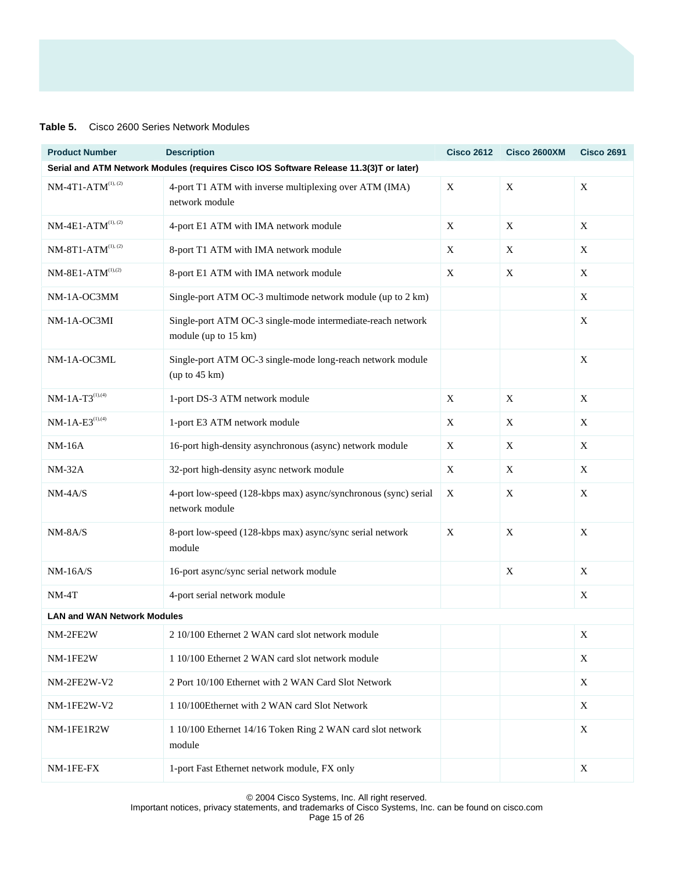## **Table 5.** Cisco 2600 Series Network Modules

| <b>Product Number</b>                                  | <b>Description</b>                                                                     | <b>Cisco 2612</b> | <b>Cisco 2600XM</b> | <b>Cisco 2691</b> |
|--------------------------------------------------------|----------------------------------------------------------------------------------------|-------------------|---------------------|-------------------|
|                                                        | Serial and ATM Network Modules (requires Cisco IOS Software Release 11.3(3)T or later) |                   |                     |                   |
| $NM\text{-}4T1\text{-}ATM^{^{(1),\,(2)}}$              | 4-port T1 ATM with inverse multiplexing over ATM (IMA)<br>network module               | $\mathbf X$       | $\mathbf X$         | X                 |
| $NM\text{-}4E1\text{-}ATM^{^{(1),\,(2)}}$              | 4-port E1 ATM with IMA network module                                                  | X                 | X                   | X                 |
| $\textbf{NM-8T1-ATM}^{\text{\tiny{(1)},{(2)}}}$        | 8-port T1 ATM with IMA network module                                                  | X                 | X                   | X                 |
| $NM-8E1-ATM^{(1),(2)}$                                 | 8-port E1 ATM with IMA network module                                                  | X                 | X                   | X                 |
| NM-1A-OC3MM                                            | Single-port ATM OC-3 multimode network module (up to 2 km)                             |                   |                     | X                 |
| NM-1A-OC3MI                                            | Single-port ATM OC-3 single-mode intermediate-reach network<br>module (up to 15 km)    |                   |                     | X                 |
| NM-1A-OC3ML                                            | Single-port ATM OC-3 single-mode long-reach network module<br>(up to 45 km)            |                   |                     | X                 |
| $\text{NM-1}\text{A-T3}^{\scriptscriptstyle{(1),(4)}}$ | 1-port DS-3 ATM network module                                                         | X                 | X                   | X                 |
| $NM-1A-E3^{(1),(4)}$                                   | 1-port E3 ATM network module                                                           | X                 | X                   | X                 |
| $NM-16A$                                               | 16-port high-density asynchronous (async) network module                               | X                 | X                   | X                 |
| <b>NM-32A</b>                                          | 32-port high-density async network module                                              | X                 | X                   | X                 |
| $NM-4A/S$                                              | 4-port low-speed (128-kbps max) async/synchronous (sync) serial<br>network module      | X                 | X                   | X                 |
| $NM-8A/S$                                              | 8-port low-speed (128-kbps max) async/sync serial network<br>module                    | X                 | X                   | X                 |
| NM-16A/S                                               | 16-port async/sync serial network module                                               |                   | X                   | X                 |
| $NM-4T$                                                | 4-port serial network module                                                           |                   |                     | X                 |
| <b>LAN and WAN Network Modules</b>                     |                                                                                        |                   |                     |                   |
| NM-2FE2W                                               | 2 10/100 Ethernet 2 WAN card slot network module                                       |                   |                     | X                 |
| NM-1FE2W                                               | 1 10/100 Ethernet 2 WAN card slot network module                                       |                   |                     | X                 |
| NM-2FE2W-V2                                            | 2 Port 10/100 Ethernet with 2 WAN Card Slot Network                                    |                   |                     | X                 |
| NM-1FE2W-V2                                            | 1 10/100Ethernet with 2 WAN card Slot Network                                          |                   |                     | X                 |
| NM-1FE1R2W                                             | 1 10/100 Ethernet 14/16 Token Ring 2 WAN card slot network<br>module                   |                   |                     | X                 |
| NM-1FE-FX                                              | 1-port Fast Ethernet network module, FX only                                           |                   |                     | X                 |

© 2004 Cisco Systems, Inc. All right reserved.

Important notices, privacy statements, and trademarks of Cisco Systems, Inc. can be found on cisco.com

Page 15 of 26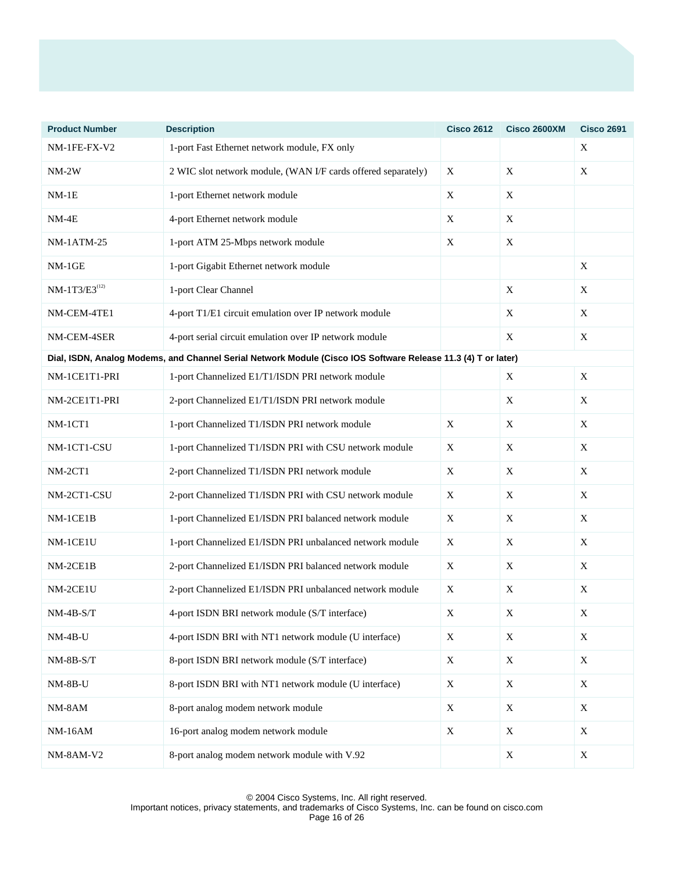| <b>Product Number</b> | <b>Description</b>                                                                                            | <b>Cisco 2612</b> | <b>Cisco 2600XM</b> | <b>Cisco 2691</b> |
|-----------------------|---------------------------------------------------------------------------------------------------------------|-------------------|---------------------|-------------------|
| NM-1FE-FX-V2          | 1-port Fast Ethernet network module, FX only                                                                  |                   |                     | X                 |
| $NM-2W$               | 2 WIC slot network module, (WAN I/F cards offered separately)                                                 | X                 | X                   | X                 |
| $NM-1E$               | 1-port Ethernet network module                                                                                | X                 | X                   |                   |
| $NM-4E$               | 4-port Ethernet network module                                                                                | X                 | X                   |                   |
| <b>NM-1ATM-25</b>     | 1-port ATM 25-Mbps network module                                                                             | X                 | X                   |                   |
| $NM-1GE$              | 1-port Gigabit Ethernet network module                                                                        |                   |                     | X                 |
| $NM-1T3/E3^{(12)}$    | 1-port Clear Channel                                                                                          |                   | X                   | X                 |
| NM-CEM-4TE1           | 4-port T1/E1 circuit emulation over IP network module                                                         |                   | X                   | X                 |
| NM-CEM-4SER           | 4-port serial circuit emulation over IP network module                                                        |                   | X                   | X                 |
|                       | Dial, ISDN, Analog Modems, and Channel Serial Network Module (Cisco IOS Software Release 11.3 (4) T or later) |                   |                     |                   |
| NM-1CE1T1-PRI         | 1-port Channelized E1/T1/ISDN PRI network module                                                              |                   | X                   | X                 |
| NM-2CE1T1-PRI         | 2-port Channelized E1/T1/ISDN PRI network module                                                              |                   | X                   | X                 |
| NM-1CT1               | 1-port Channelized T1/ISDN PRI network module                                                                 | X                 | X                   | X                 |
| NM-1CT1-CSU           | 1-port Channelized T1/ISDN PRI with CSU network module                                                        | X                 | X                   | X                 |
| NM-2CT1               | 2-port Channelized T1/ISDN PRI network module                                                                 | X                 | X                   | X                 |
| NM-2CT1-CSU           | 2-port Channelized T1/ISDN PRI with CSU network module                                                        | X                 | X                   | X                 |
| NM-1CE1B              | 1-port Channelized E1/ISDN PRI balanced network module                                                        | X                 | X                   | X                 |
| NM-1CE1U              | 1-port Channelized E1/ISDN PRI unbalanced network module                                                      | X                 | X                   | X                 |
| NM-2CE1B              | 2-port Channelized E1/ISDN PRI balanced network module                                                        | X                 | X                   | X                 |
| NM-2CE1U              | 2-port Channelized E1/ISDN PRI unbalanced network module                                                      | $\mathbf X$       | X                   | X                 |
| NM-4B-S/T             | 4-port ISDN BRI network module (S/T interface)                                                                | X                 | X                   | X                 |
| $NM-4B-U$             | 4-port ISDN BRI with NT1 network module (U interface)                                                         | $\mathbf X$       | $\mathbf X$         | X                 |
| $NM-8B-S/T$           | 8-port ISDN BRI network module (S/T interface)                                                                | $\mathbf X$       | X                   | X                 |
| NM-8B-U               | 8-port ISDN BRI with NT1 network module (U interface)                                                         | $\mathbf X$       | X                   | X                 |
| NM-8AM                | 8-port analog modem network module                                                                            | $\mathbf X$       | $\mathbf X$         | X                 |
| <b>NM-16AM</b>        | 16-port analog modem network module                                                                           | X                 | X                   | $\mathbf X$       |
| NM-8AM-V2             | 8-port analog modem network module with V.92                                                                  |                   | $\mathbf X$         | $\mathbf X$       |

© 2004 Cisco Systems, Inc. All right reserved.

Important notices, privacy statements, and trademarks of Cisco Systems, Inc. can be found on cisco.com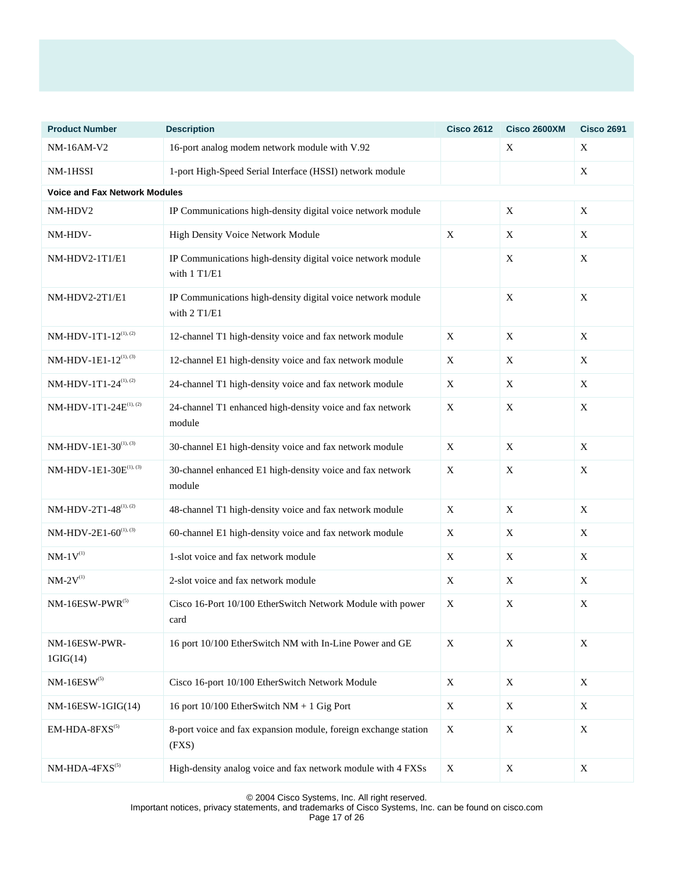| <b>Product Number</b>                                       | <b>Description</b>                                                               | <b>Cisco 2612</b> | <b>Cisco 2600XM</b> | <b>Cisco 2691</b> |  |  |  |
|-------------------------------------------------------------|----------------------------------------------------------------------------------|-------------------|---------------------|-------------------|--|--|--|
| NM-16AM-V2                                                  | 16-port analog modem network module with V.92                                    |                   | X                   | X                 |  |  |  |
| NM-1HSSI                                                    | 1-port High-Speed Serial Interface (HSSI) network module                         |                   |                     | X                 |  |  |  |
| <b>Voice and Fax Network Modules</b>                        |                                                                                  |                   |                     |                   |  |  |  |
| NM-HDV2                                                     | IP Communications high-density digital voice network module                      |                   | X                   | X                 |  |  |  |
| NM-HDV-                                                     | <b>High Density Voice Network Module</b>                                         | $\mathbf X$       | X                   | X                 |  |  |  |
| NM-HDV2-1T1/E1                                              | IP Communications high-density digital voice network module<br>with 1 T1/E1      |                   | X                   | X                 |  |  |  |
| NM-HDV2-2T1/E1                                              | IP Communications high-density digital voice network module<br>with $2$ T $1/E1$ |                   | $\mathbf X$         | X                 |  |  |  |
| $NM-HDV-1T1-12^{(1),(2)}$                                   | 12-channel T1 high-density voice and fax network module                          | X                 | X                   | X                 |  |  |  |
| NM-HDV-1E1-12 <sup>(1), (3)</sup>                           | 12-channel E1 high-density voice and fax network module                          | $\mathbf X$       | X                   | X                 |  |  |  |
| NM-HDV-1T1-24 <sup>(1), (2)</sup>                           | 24-channel T1 high-density voice and fax network module                          | $\boldsymbol{X}$  | X                   | X                 |  |  |  |
| $NM$ -HDV-1T1-24 $E^{(1),(2)}$                              | 24-channel T1 enhanced high-density voice and fax network<br>module              | $\mathbf X$       | X                   | X                 |  |  |  |
| $NM\text{-}HDV\text{-}1E1\text{-}30^{\text{\tiny(1), (3)}}$ | 30-channel E1 high-density voice and fax network module                          | $\boldsymbol{X}$  | X                   | X                 |  |  |  |
| NM-HDV-1E1-30E <sup>(1), (3)</sup>                          | 30-channel enhanced E1 high-density voice and fax network<br>module              | X                 | $\mathbf X$         | X                 |  |  |  |
| NM-HDV-2T1-48(1), (2)                                       | 48-channel T1 high-density voice and fax network module                          | X                 | $\mathbf X$         | X                 |  |  |  |
| $NM-HDV-2E1-60^{(1), (3)}$                                  | 60-channel E1 high-density voice and fax network module                          | $\mathbf X$       | X                   | X                 |  |  |  |
| $\textbf{NM-1}\,V^{\scriptscriptstyle{(1)}}$                | 1-slot voice and fax network module                                              | $\mathbf X$       | $\mathbf X$         | X                 |  |  |  |
| $NM-2V^{(1)}$                                               | 2-slot voice and fax network module                                              | X                 | X                   | X                 |  |  |  |
| $NM-16ESW-PWR^{(5)}$                                        | Cisco 16-Port 10/100 EtherSwitch Network Module with power<br>card               | X                 | X                   | X                 |  |  |  |
| NM-16ESW-PWR-<br>1GIG(14)                                   | 16 port 10/100 EtherSwitch NM with In-Line Power and GE                          | $\mathbf X$       | X                   | $\mathbf X$       |  |  |  |
| $NM-16ESW^{(5)}$                                            | Cisco 16-port 10/100 EtherSwitch Network Module                                  | $\mathbf X$       | X                   | X                 |  |  |  |
| $NM-16ESW-1GIG(14)$                                         | 16 port 10/100 EtherSwitch NM + 1 Gig Port                                       | X                 | X                   | X                 |  |  |  |
| $EM-HDA-8FXS^{(5)}$                                         | 8-port voice and fax expansion module, foreign exchange station<br>(FXS)         | X                 | X                   | X                 |  |  |  |
| $\text{NM-HDA-4FXS}^{\scriptscriptstyle{(5)}}$              | High-density analog voice and fax network module with 4 FXSs                     | X                 | X                   | X                 |  |  |  |

© 2004 Cisco Systems, Inc. All right reserved.

Important notices, privacy statements, and trademarks of Cisco Systems, Inc. can be found on cisco.com

Page 17 of 26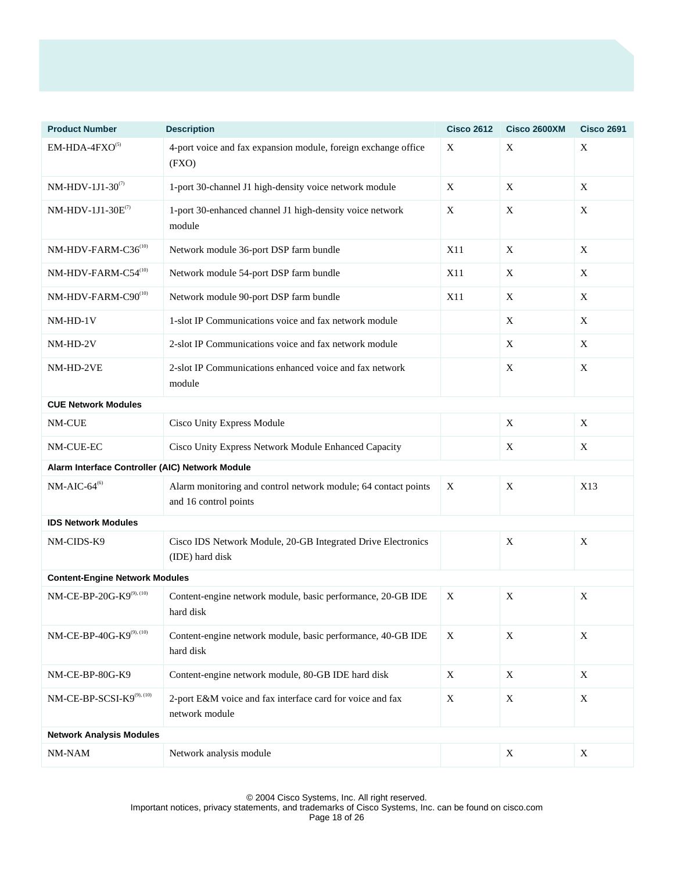| <b>Product Number</b>                           | <b>Description</b>                                                                      | <b>Cisco 2612</b> | <b>Cisco 2600XM</b> | <b>Cisco 2691</b> |
|-------------------------------------------------|-----------------------------------------------------------------------------------------|-------------------|---------------------|-------------------|
| EM-HDA-4FXO <sup>(5)</sup>                      | 4-port voice and fax expansion module, foreign exchange office<br>(FXO)                 | X                 | X                   | X                 |
| $NM-HDV-1J1-30^{(7)}$                           | 1-port 30-channel J1 high-density voice network module                                  | X                 | X                   | X                 |
| $NM$ -HDV-1J1-30 $E^{(7)}$                      | 1-port 30-enhanced channel J1 high-density voice network<br>module                      | X                 | X                   | X                 |
| NM-HDV-FARM-C36 <sup>(10)</sup>                 | Network module 36-port DSP farm bundle                                                  | X11               | X                   | X                 |
| $\text{NM-HDV-FARM-C54}^{(10)}$                 | Network module 54-port DSP farm bundle                                                  | X11               | X                   | X                 |
| NM-HDV-FARM-C90 <sup>(10)</sup>                 | Network module 90-port DSP farm bundle                                                  | X11               | X                   | X                 |
| NM-HD-1V                                        | 1-slot IP Communications voice and fax network module                                   |                   | X                   | X                 |
| NM-HD-2V                                        | 2-slot IP Communications voice and fax network module                                   |                   | X                   | X                 |
| NM-HD-2VE                                       | 2-slot IP Communications enhanced voice and fax network<br>module                       |                   | X                   | X                 |
| <b>CUE Network Modules</b>                      |                                                                                         |                   |                     |                   |
| NM-CUE                                          | <b>Cisco Unity Express Module</b>                                                       |                   | X                   | X                 |
| NM-CUE-EC                                       | Cisco Unity Express Network Module Enhanced Capacity                                    |                   | X                   | X                 |
| Alarm Interface Controller (AIC) Network Module |                                                                                         |                   |                     |                   |
| $NM-AIC-64(6)$                                  | Alarm monitoring and control network module; 64 contact points<br>and 16 control points | X                 | X                   | X13               |
| <b>IDS Network Modules</b>                      |                                                                                         |                   |                     |                   |
| NM-CIDS-K9                                      | Cisco IDS Network Module, 20-GB Integrated Drive Electronics<br>(IDE) hard disk         |                   | X                   | X                 |
| <b>Content-Engine Network Modules</b>           |                                                                                         |                   |                     |                   |
| NM-CE-BP-20G-K9 <sup>(9), (10)</sup>            | Content-engine network module, basic performance, 20-GB IDE<br>hard disk                | X                 | X                   | X                 |
| $\textbf{NM-CE-BP-40G-K9}^{(9),\,(10)}$         | Content-engine network module, basic performance, 40-GB IDE<br>hard disk                | X                 | X                   | X                 |
| NM-CE-BP-80G-K9                                 | Content-engine network module, 80-GB IDE hard disk                                      | X                 | X                   | X                 |
| NM-CE-BP-SCSI-K9 <sup>(9), (10)</sup>           | 2-port E&M voice and fax interface card for voice and fax<br>network module             | $\mathbf X$       | X                   | X                 |
| <b>Network Analysis Modules</b>                 |                                                                                         |                   |                     |                   |
| NM-NAM                                          | Network analysis module                                                                 |                   | $\mathbf X$         | $\mathbf X$       |

Important notices, privacy statements, and trademarks of Cisco Systems, Inc. can be found on cisco.com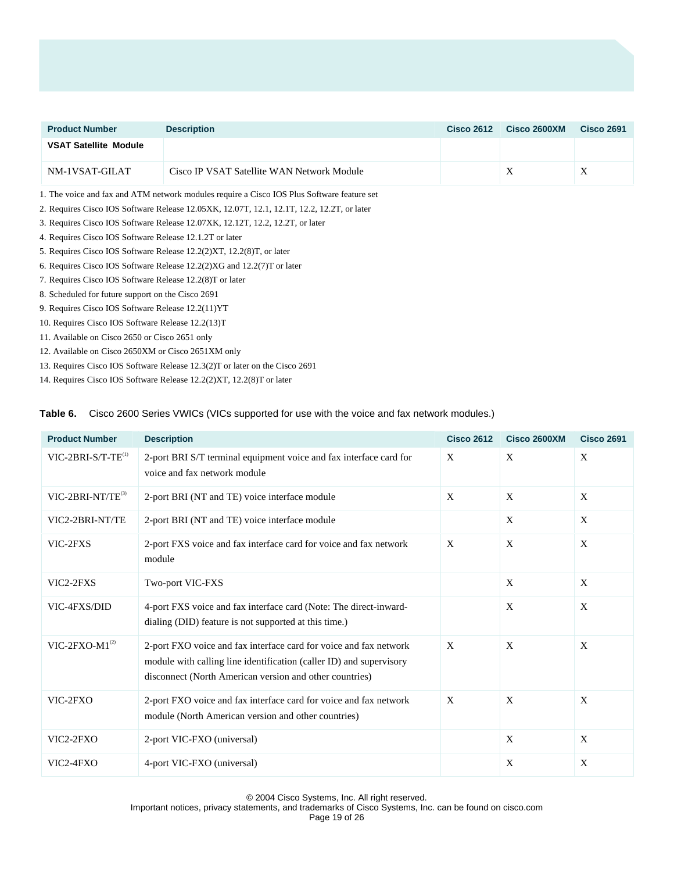| <b>Product Number</b>        | <b>Description</b>                         | <b>Cisco 2612</b> | Cisco 2600XM | <b>Cisco 2691</b> |
|------------------------------|--------------------------------------------|-------------------|--------------|-------------------|
| <b>VSAT Satellite Module</b> |                                            |                   |              |                   |
| NM-1VSAT-GILAT               | Cisco IP VSAT Satellite WAN Network Module |                   |              | X                 |

1. The voice and fax and ATM network modules require a Cisco IOS Plus Software feature set

2. Requires Cisco IOS Software Release 12.05XK, 12.07T, 12.1, 12.1T, 12.2, 12.2T, or later

3. Requires Cisco IOS Software Release 12.07XK, 12.12T, 12.2, 12.2T, or later

4. Requires Cisco IOS Software Release 12.1.2T or later

5. Requires Cisco IOS Software Release 12.2(2)XT, 12.2(8)T, or later

6. Requires Cisco IOS Software Release 12.2(2)XG and 12.2(7)T or later

7. Requires Cisco IOS Software Release 12.2(8)T or later

8. Scheduled for future support on the Cisco 2691

9. Requires Cisco IOS Software Release 12.2(11)YT

10. Requires Cisco IOS Software Release 12.2(13)T

11. Available on Cisco 2650 or Cisco 2651 only

12. Available on Cisco 2650XM or Cisco 2651XM only

13. Requires Cisco IOS Software Release 12.3(2)T or later on the Cisco 2691

14. Requires Cisco IOS Software Release 12.2(2)XT, 12.2(8)T or later

### **Table 6.** Cisco 2600 Series VWICs (VICs supported for use with the voice and fax network modules.)

| <b>Product Number</b>  | <b>Description</b>                                                                                                                                                                                  | <b>Cisco 2612</b> | <b>Cisco 2600XM</b> | <b>Cisco 2691</b> |
|------------------------|-----------------------------------------------------------------------------------------------------------------------------------------------------------------------------------------------------|-------------------|---------------------|-------------------|
| $VIC-2BRI-S/T-TE(1)$   | 2-port BRI S/T terminal equipment voice and fax interface card for<br>voice and fax network module                                                                                                  | X                 | X                   | X                 |
| $VIC-2BRI-NT/TE^{(3)}$ | 2-port BRI (NT and TE) voice interface module                                                                                                                                                       | X                 | X                   | X                 |
| VIC2-2BRI-NT/TE        | 2-port BRI (NT and TE) voice interface module                                                                                                                                                       |                   | X                   | X                 |
| VIC-2FXS               | 2-port FXS voice and fax interface card for voice and fax network<br>module                                                                                                                         | X                 | X                   | $\boldsymbol{X}$  |
| VIC2-2FXS              | Two-port VIC-FXS                                                                                                                                                                                    |                   | X                   | X                 |
| VIC-4FXS/DID           | 4-port FXS voice and fax interface card (Note: The direct-inward-<br>dialing (DID) feature is not supported at this time.)                                                                          |                   | X                   | X                 |
| VIC-2FXO-M $1^{(2)}$   | 2-port FXO voice and fax interface card for voice and fax network<br>module with calling line identification (caller ID) and supervisory<br>disconnect (North American version and other countries) | X                 | X                   | X                 |
| VIC-2FXO               | 2-port FXO voice and fax interface card for voice and fax network<br>module (North American version and other countries)                                                                            | X                 | X                   | X                 |
| VIC2-2FXO              | 2-port VIC-FXO (universal)                                                                                                                                                                          |                   | X                   | $\boldsymbol{X}$  |
| VIC2-4FXO              | 4-port VIC-FXO (universal)                                                                                                                                                                          |                   | X                   | X                 |

© 2004 Cisco Systems, Inc. All right reserved.

Important notices, privacy statements, and trademarks of Cisco Systems, Inc. can be found on cisco.com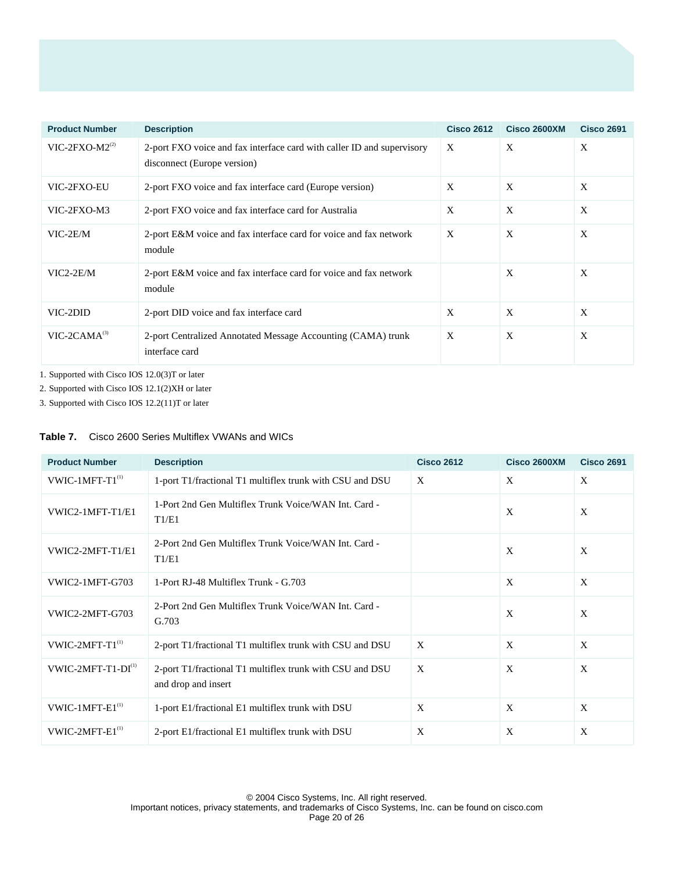| <b>Product Number</b> | <b>Description</b>                                                                                    | <b>Cisco 2612</b> | <b>Cisco 2600XM</b> | <b>Cisco 2691</b> |
|-----------------------|-------------------------------------------------------------------------------------------------------|-------------------|---------------------|-------------------|
| VIC-2FXO-M2 $^{(2)}$  | 2-port FXO voice and fax interface card with caller ID and supervisory<br>disconnect (Europe version) | X                 | X                   | X                 |
| VIC-2FXO-EU           | 2-port FXO voice and fax interface card (Europe version)                                              | X                 | X                   | X                 |
| VIC-2FXO-M3           | 2-port FXO voice and fax interface card for Australia                                                 | X                 | X                   | X                 |
| $VIC-2E/M$            | 2-port E&M voice and fax interface card for voice and fax network<br>module                           | X                 | X                   | X                 |
| $VIC2-2E/M$           | 2-port E&M voice and fax interface card for voice and fax network<br>module                           |                   | X                   | X                 |
| VIC-2DID              | 2-port DID voice and fax interface card                                                               | X                 | X                   | X                 |
| $VIC-2CAMA^{(3)}$     | 2-port Centralized Annotated Message Accounting (CAMA) trunk<br>interface card                        | X                 | X                   | X                 |

1. Supported with Cisco IOS 12.0(3)T or later

2. Supported with Cisco IOS 12.1(2)XH or later

3. Supported with Cisco IOS 12.2(11)T or later

#### **Table 7.** Cisco 2600 Series Multiflex VWANs and WICs

| <b>Product Number</b> | <b>Description</b>                                                              | <b>Cisco 2612</b> | <b>Cisco 2600XM</b> | <b>Cisco 2691</b> |
|-----------------------|---------------------------------------------------------------------------------|-------------------|---------------------|-------------------|
| $VWIC-1MFT-T1(1)$     | 1-port T1/fractional T1 multiflex trunk with CSU and DSU                        | X                 | X                   | X                 |
| VWIC2-1MFT-T1/E1      | 1-Port 2nd Gen Multiflex Trunk Voice/WAN Int. Card -<br>T1/E1                   |                   | $\boldsymbol{X}$    | $\mathbf{X}$      |
| VWIC2-2MFT-T1/E1      | 2-Port 2nd Gen Multiflex Trunk Voice/WAN Int. Card -<br>T1/E1                   |                   | $\boldsymbol{X}$    | $\mathbf{X}$      |
| VWIC2-1MFT-G703       | 1-Port RJ-48 Multiflex Trunk - G.703                                            |                   | X                   | X                 |
| VWIC2-2MFT-G703       | 2-Port 2nd Gen Multiflex Trunk Voice/WAN Int. Card -<br>G.703                   |                   | X                   | X                 |
| $VWIC-2MFT-T1(1)$     | 2-port T1/fractional T1 multiflex trunk with CSU and DSU                        | X                 | X                   | X                 |
| $VWIC-2MFT-T1-DI(1)$  | 2-port T1/fractional T1 multiflex trunk with CSU and DSU<br>and drop and insert | X                 | X                   | X                 |
| $VWIC-1MFT-E1(1)$     | 1-port E1/fractional E1 multiflex trunk with DSU                                | X                 | X                   | X                 |
| VWIC-2MFT- $E1^{(1)}$ | 2-port E1/fractional E1 multiflex trunk with DSU                                | X                 | X                   | X                 |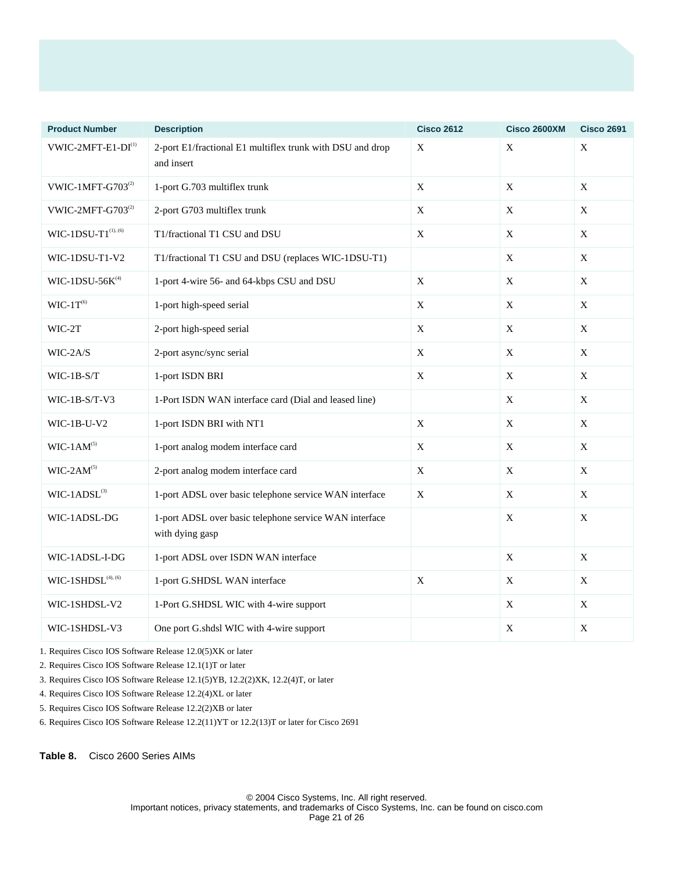| <b>Product Number</b>                  | <b>Description</b>                                                        | <b>Cisco 2612</b> | <b>Cisco 2600XM</b>       | <b>Cisco 2691</b> |
|----------------------------------------|---------------------------------------------------------------------------|-------------------|---------------------------|-------------------|
| $VWIC-2MFT-E1-DI(1)$                   | 2-port E1/fractional E1 multiflex trunk with DSU and drop<br>and insert   | X                 | X                         | X                 |
| VWIC-1MFT-G703 <sup>(2)</sup>          | 1-port G.703 multiflex trunk                                              | X                 | X                         | X                 |
| VWIC-2MFT-G703 <sup>(2)</sup>          | 2-port G703 multiflex trunk                                               | X                 | $\boldsymbol{\mathrm{X}}$ | $\mathbf X$       |
| $WIC-1DSU-T1(1), (6)$                  | T1/fractional T1 CSU and DSU                                              | $\mathbf X$       | $\mathbf X$               | X                 |
| WIC-1DSU-T1-V2                         | T1/fractional T1 CSU and DSU (replaces WIC-1DSU-T1)                       |                   | $\mathbf X$               | X                 |
| $WIC-1DSU-56K^{(4)}$                   | 1-port 4-wire 56- and 64-kbps CSU and DSU                                 | X                 | X                         | X                 |
| $WIC-1T^{(6)}$                         | 1-port high-speed serial                                                  | X                 | X                         | X                 |
| WIC-2T                                 | 2-port high-speed serial                                                  | $\mathbf X$       | $\mathbf X$               | X                 |
| WIC-2A/S                               | 2-port async/sync serial                                                  | $\mathbf X$       | X                         | $\mathbf X$       |
| $WIC-1B-S/T$                           | 1-port ISDN BRI                                                           | $\mathbf X$       | X                         | X                 |
| $WIC-1B-S/T-V3$                        | 1-Port ISDN WAN interface card (Dial and leased line)                     |                   | $\mathbf X$               | $\mathbf X$       |
| $WIC-1B-U-V2$                          | 1-port ISDN BRI with NT1                                                  | $\mathbf X$       | $\mathbf X$               | X                 |
| $WIC-1AM$ <sup>(5)</sup>               | 1-port analog modem interface card                                        | X                 | X                         | X                 |
| $WIC-2AM(5)$                           | 2-port analog modem interface card                                        | $\boldsymbol{X}$  | X                         | X                 |
| $WIC-1ADS(3)$                          | 1-port ADSL over basic telephone service WAN interface                    | X                 | $\mathbf X$               | X                 |
| WIC-1ADSL-DG                           | 1-port ADSL over basic telephone service WAN interface<br>with dying gasp |                   | X                         | X                 |
| WIC-1ADSL-I-DG                         | 1-port ADSL over ISDN WAN interface                                       |                   | X                         | X                 |
| $\text{WIC-1}\text{SHDSL}^{(4),\,(6)}$ | 1-port G.SHDSL WAN interface                                              | X                 | X                         | X                 |
| WIC-1SHDSL-V2                          | 1-Port G.SHDSL WIC with 4-wire support                                    |                   | $\mathbf X$               | X                 |
| WIC-1SHDSL-V3                          | One port G.shdsl WIC with 4-wire support                                  |                   | X                         | $\mathbf X$       |

1. Requires Cisco IOS Software Release 12.0(5)XK or later

2. Requires Cisco IOS Software Release 12.1(1)T or later

3. Requires Cisco IOS Software Release 12.1(5)YB, 12.2(2)XK, 12.2(4)T, or later

4. Requires Cisco IOS Software Release 12.2(4)XL or later

5. Requires Cisco IOS Software Release 12.2(2)XB or later

6. Requires Cisco IOS Software Release 12.2(11)YT or 12.2(13)T or later for Cisco 2691

**Table 8.** Cisco 2600 Series AIMs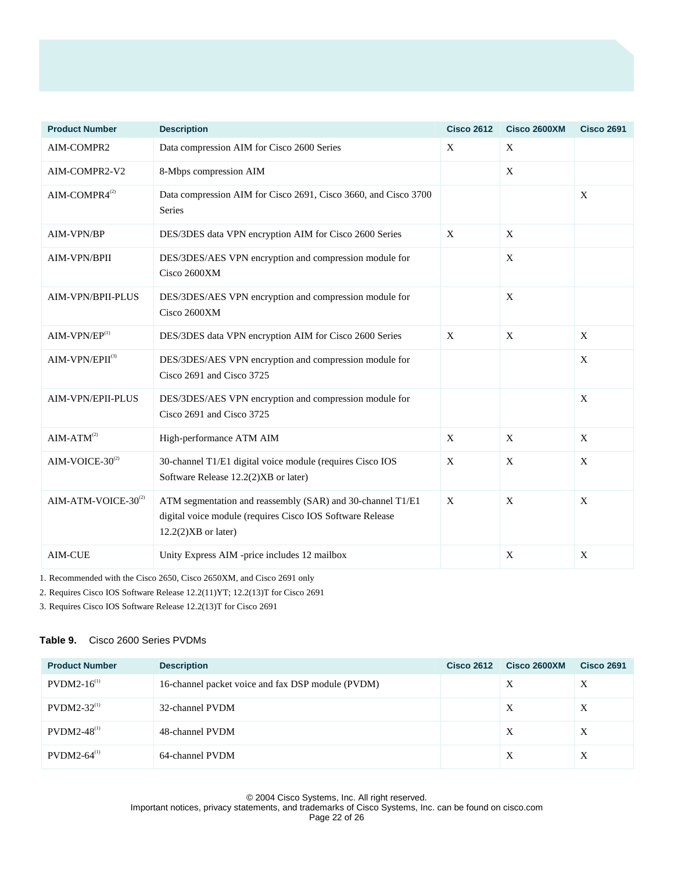| <b>Product Number</b>           | <b>Description</b>                                                                                                                               | <b>Cisco 2612</b> | <b>Cisco 2600XM</b> | <b>Cisco 2691</b> |
|---------------------------------|--------------------------------------------------------------------------------------------------------------------------------------------------|-------------------|---------------------|-------------------|
| AIM-COMPR2                      | Data compression AIM for Cisco 2600 Series                                                                                                       | X                 | X                   |                   |
| AIM-COMPR2-V2                   | 8-Mbps compression AIM                                                                                                                           |                   | X                   |                   |
| AIM-COMPR4 <sup>(2)</sup>       | Data compression AIM for Cisco 2691, Cisco 3660, and Cisco 3700<br>Series                                                                        |                   |                     | X                 |
| AIM-VPN/BP                      | DES/3DES data VPN encryption AIM for Cisco 2600 Series                                                                                           | X                 | X                   |                   |
| AIM-VPN/BPII                    | DES/3DES/AES VPN encryption and compression module for<br>Cisco 2600XM                                                                           |                   | X                   |                   |
| AIM-VPN/BPII-PLUS               | DES/3DES/AES VPN encryption and compression module for<br>Cisco 2600XM                                                                           |                   | X                   |                   |
| $AIM-VPN/EP(1)$                 | DES/3DES data VPN encryption AIM for Cisco 2600 Series                                                                                           | X                 | X                   | X                 |
| AIM-VPN/EPII(3)                 | DES/3DES/AES VPN encryption and compression module for<br>Cisco 2691 and Cisco 3725                                                              |                   |                     | X                 |
| AIM-VPN/EPII-PLUS               | DES/3DES/AES VPN encryption and compression module for<br>Cisco 2691 and Cisco 3725                                                              |                   |                     | X                 |
| $AIM-ATM^{(2)}$                 | High-performance ATM AIM                                                                                                                         | X                 | X                   | X                 |
| AIM-VOICE-30 <sup>(2)</sup>     | 30-channel T1/E1 digital voice module (requires Cisco IOS<br>Software Release 12.2(2)XB or later)                                                | X                 | X                   | X                 |
| AIM-ATM-VOICE-30 <sup>(2)</sup> | ATM segmentation and reassembly (SAR) and 30-channel T1/E1<br>digital voice module (requires Cisco IOS Software Release<br>$12.2(2)XB$ or later) | $\mathbf X$       | X                   | X                 |
| <b>AIM-CUE</b>                  | Unity Express AIM -price includes 12 mailbox                                                                                                     |                   | X                   | X                 |

1. Recommended with the Cisco 2650, Cisco 2650XM, and Cisco 2691 only

2. Requires Cisco IOS Software Release 12.2(11)YT; 12.2(13)T for Cisco 2691

3. Requires Cisco IOS Software Release 12.2(13)T for Cisco 2691

#### **Table 9.** Cisco 2600 Series PVDMs

| <b>Product Number</b> | <b>Description</b>                                | <b>Cisco 2612</b> | Cisco 2600XM | <b>Cisco 2691</b> |
|-----------------------|---------------------------------------------------|-------------------|--------------|-------------------|
| $PVDM2-16^{(1)}$      | 16-channel packet voice and fax DSP module (PVDM) |                   | X            | X                 |
| $PVDM2-32^{(1)}$      | 32-channel PVDM                                   |                   | X            | X                 |
| $PVDM2-48^{(1)}$      | 48-channel PVDM                                   |                   | X            | X                 |
| $PVDM2-64^{(1)}$      | 64-channel PVDM                                   |                   | X            | X                 |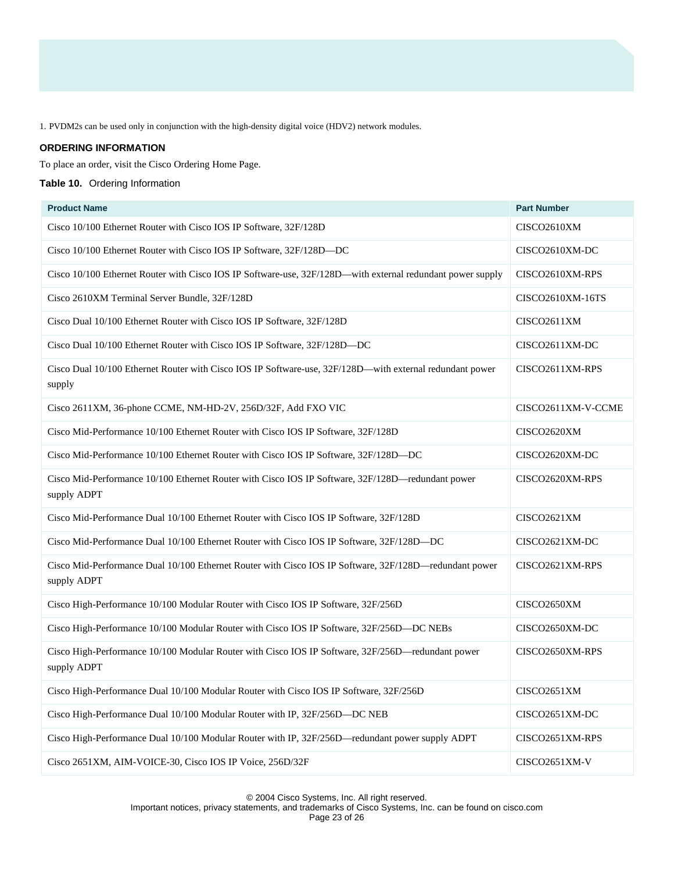1. PVDM2s can be used only in conjunction with the high-density digital voice (HDV2) network modules.

#### **ORDERING INFORMATION**

To place an order, visit the Cisco Ordering Home Page.

#### **Table 10.** Ordering Information

| <b>Product Name</b>                                                                                                   | <b>Part Number</b> |
|-----------------------------------------------------------------------------------------------------------------------|--------------------|
| Cisco 10/100 Ethernet Router with Cisco IOS IP Software, 32F/128D                                                     | CISCO2610XM        |
| Cisco 10/100 Ethernet Router with Cisco IOS IP Software, 32F/128D—DC                                                  | CISCO2610XM-DC     |
| Cisco 10/100 Ethernet Router with Cisco IOS IP Software-use, 32F/128D—with external redundant power supply            | CISCO2610XM-RPS    |
| Cisco 2610XM Terminal Server Bundle, 32F/128D                                                                         | CISCO2610XM-16TS   |
| Cisco Dual 10/100 Ethernet Router with Cisco IOS IP Software, 32F/128D                                                | CISCO2611XM        |
| Cisco Dual 10/100 Ethernet Router with Cisco IOS IP Software, 32F/128D-DC                                             | CISCO2611XM-DC     |
| Cisco Dual 10/100 Ethernet Router with Cisco IOS IP Software-use, 32F/128D—with external redundant power<br>supply    | CISCO2611XM-RPS    |
| Cisco 2611XM, 36-phone CCME, NM-HD-2V, 256D/32F, Add FXO VIC                                                          | CISCO2611XM-V-CCME |
| Cisco Mid-Performance 10/100 Ethernet Router with Cisco IOS IP Software, 32F/128D                                     | CISCO2620XM        |
| Cisco Mid-Performance 10/100 Ethernet Router with Cisco IOS IP Software, 32F/128D-DC                                  | CISCO2620XM-DC     |
| Cisco Mid-Performance 10/100 Ethernet Router with Cisco IOS IP Software, 32F/128D—redundant power<br>supply ADPT      | CISCO2620XM-RPS    |
| Cisco Mid-Performance Dual 10/100 Ethernet Router with Cisco IOS IP Software, 32F/128D                                | <b>CISCO2621XM</b> |
| Cisco Mid-Performance Dual 10/100 Ethernet Router with Cisco IOS IP Software, 32F/128D—DC                             | CISCO2621XM-DC     |
| Cisco Mid-Performance Dual 10/100 Ethernet Router with Cisco IOS IP Software, 32F/128D—redundant power<br>supply ADPT | CISCO2621XM-RPS    |
| Cisco High-Performance 10/100 Modular Router with Cisco IOS IP Software, 32F/256D                                     | CISCO2650XM        |
| Cisco High-Performance 10/100 Modular Router with Cisco IOS IP Software, 32F/256D-DC NEBs                             | CISCO2650XM-DC     |
| Cisco High-Performance 10/100 Modular Router with Cisco IOS IP Software, 32F/256D—redundant power<br>supply ADPT      | CISCO2650XM-RPS    |
| Cisco High-Performance Dual 10/100 Modular Router with Cisco IOS IP Software, 32F/256D                                | CISCO2651XM        |
| Cisco High-Performance Dual 10/100 Modular Router with IP, 32F/256D-DC NEB                                            | CISCO2651XM-DC     |
| Cisco High-Performance Dual 10/100 Modular Router with IP, 32F/256D—redundant power supply ADPT                       | CISCO2651XM-RPS    |
| Cisco 2651XM, AIM-VOICE-30, Cisco IOS IP Voice, 256D/32F                                                              | CISCO2651XM-V      |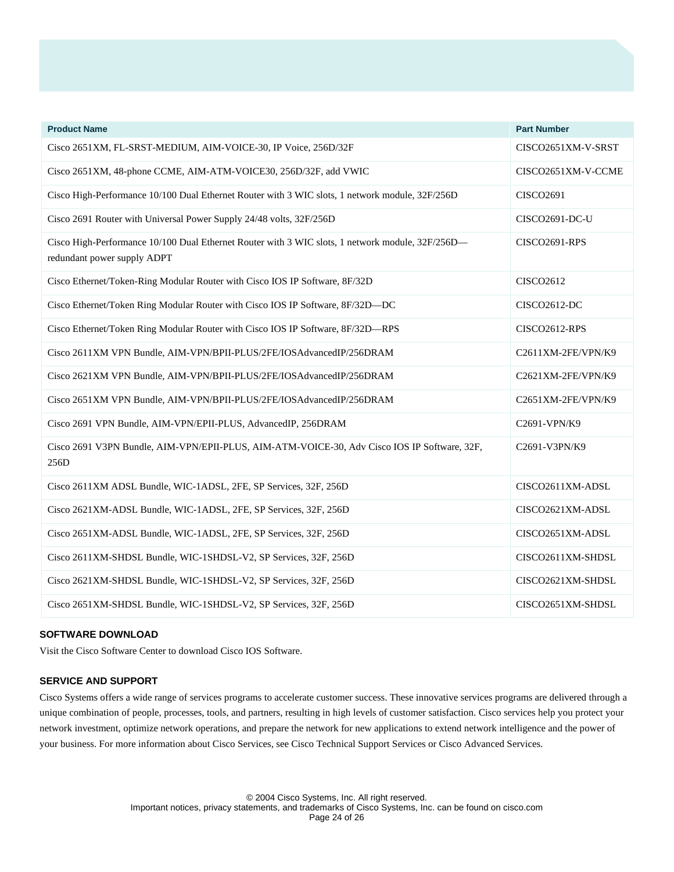| <b>Product Name</b>                                                                                                             | <b>Part Number</b>   |
|---------------------------------------------------------------------------------------------------------------------------------|----------------------|
| Cisco 2651XM, FL-SRST-MEDIUM, AIM-VOICE-30, IP Voice, 256D/32F                                                                  | CISCO2651XM-V-SRST   |
| Cisco 2651XM, 48-phone CCME, AIM-ATM-VOICE30, 256D/32F, add VWIC                                                                | CISCO2651XM-V-CCME   |
| Cisco High-Performance 10/100 Dual Ethernet Router with 3 WIC slots, 1 network module, 32F/256D                                 | <b>CISCO2691</b>     |
| Cisco 2691 Router with Universal Power Supply 24/48 volts, 32F/256D                                                             | CISCO2691-DC-U       |
| Cisco High-Performance 10/100 Dual Ethernet Router with 3 WIC slots, 1 network module, 32F/256D-<br>redundant power supply ADPT | <b>CISCO2691-RPS</b> |
| Cisco Ethernet/Token-Ring Modular Router with Cisco IOS IP Software, 8F/32D                                                     | CISCO2612            |
| Cisco Ethernet/Token Ring Modular Router with Cisco IOS IP Software, 8F/32D-DC                                                  | CISCO2612-DC         |
| Cisco Ethernet/Token Ring Modular Router with Cisco IOS IP Software, 8F/32D-RPS                                                 | <b>CISCO2612-RPS</b> |
| Cisco 2611XM VPN Bundle, AIM-VPN/BPII-PLUS/2FE/IOSAdvancedIP/256DRAM                                                            | C2611XM-2FE/VPN/K9   |
| Cisco 2621XM VPN Bundle, AIM-VPN/BPII-PLUS/2FE/IOSAdvancedIP/256DRAM                                                            | C2621XM-2FE/VPN/K9   |
| Cisco 2651XM VPN Bundle, AIM-VPN/BPII-PLUS/2FE/IOSAdvancedIP/256DRAM                                                            | C2651XM-2FE/VPN/K9   |
| Cisco 2691 VPN Bundle, AIM-VPN/EPII-PLUS, AdvancedIP, 256DRAM                                                                   | C2691-VPN/K9         |
| Cisco 2691 V3PN Bundle, AIM-VPN/EPII-PLUS, AIM-ATM-VOICE-30, Adv Cisco IOS IP Software, 32F,<br>256D                            | C2691-V3PN/K9        |
| Cisco 2611XM ADSL Bundle, WIC-1ADSL, 2FE, SP Services, 32F, 256D                                                                | CISCO2611XM-ADSL     |
| Cisco 2621XM-ADSL Bundle, WIC-1ADSL, 2FE, SP Services, 32F, 256D                                                                | CISCO2621XM-ADSL     |
| Cisco 2651XM-ADSL Bundle, WIC-1ADSL, 2FE, SP Services, 32F, 256D                                                                | CISCO2651XM-ADSL     |
| Cisco 2611XM-SHDSL Bundle, WIC-1SHDSL-V2, SP Services, 32F, 256D                                                                | CISCO2611XM-SHDSL    |
| Cisco 2621XM-SHDSL Bundle, WIC-1SHDSL-V2, SP Services, 32F, 256D                                                                | CISCO2621XM-SHDSL    |
| Cisco 2651XM-SHDSL Bundle, WIC-1SHDSL-V2, SP Services, 32F, 256D                                                                | CISCO2651XM-SHDSL    |

#### **SOFTWARE DOWNLOAD**

Visit the Cisco Software Center to download Cisco IOS Software.

#### **SERVICE AND SUPPORT**

Cisco Systems offers a wide range of services programs to accelerate customer success. These innovative services programs are delivered through a unique combination of people, processes, tools, and partners, resulting in high levels of customer satisfaction. Cisco services help you protect your network investment, optimize network operations, and prepare the network for new applications to extend network intelligence and the power of your business. For more information about Cisco Services, see Cisco Technical Support Services or Cisco Advanced Services.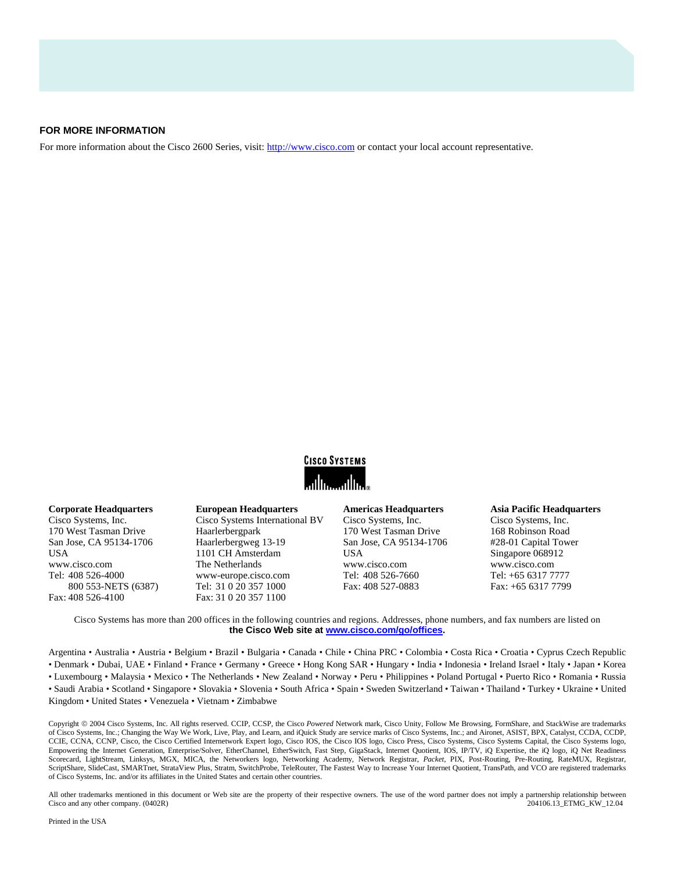#### **FOR MORE INFORMATION**

For more information about the Cisco 2600 Series, visit: [http://www.cisco.com](http://www.cisco.com/) or contact your local account representative.



**Corporate Headquarters**  Cisco Systems, Inc. 170 West Tasman Drive San Jose, CA 95134-1706 USA www.cisco.com Tel: 408 526-4000 800 553-NETS (6387) Fax: 408 526-4100

**European Headquarters**  Cisco Systems International BV Haarlerbergpark Haarlerbergweg 13-19 1101 CH Amsterdam The Netherlands www-europe.cisco.com Tel: 31 0 20 357 1000 Fax: 31 0 20 357 1100

**Americas Headquarters**  Cisco Systems, Inc. 170 West Tasman Drive San Jose, CA 95134-1706 USA www.cisco.com Tel: 408 526-7660 Fax: 408 527-0883

# **Asia Pacific Headquarters**

Cisco Systems, Inc. 168 Robinson Road #28-01 Capital Tower Singapore 068912 www.cisco.com Tel: +65 6317 7777 Fax: +65 6317 7799

Cisco Systems has more than 200 offices in the following countries and regions. Addresses, phone numbers, and fax numbers are listed on **the Cisco Web site at [www.cisco.com/go/offices.](http://www.cisco.com/go/offices)** 

Argentina • Australia • Austria • Belgium • Brazil • Bulgaria • Canada • Chile • China PRC • Colombia • Costa Rica • Croatia • Cyprus Czech Republic • Denmark • Dubai, UAE • Finland • France • Germany • Greece • Hong Kong SAR • Hungary • India • Indonesia • Ireland Israel • Italy • Japan • Korea • Luxembourg • Malaysia • Mexico • The Netherlands • New Zealand • Norway • Peru • Philippines • Poland Portugal • Puerto Rico • Romania • Russia • Saudi Arabia • Scotland • Singapore • Slovakia • Slovenia • South Africa • Spain • Sweden Switzerland • Taiwan • Thailand • Turkey • Ukraine • United Kingdom • United States • Venezuela • Vietnam • Zimbabwe

Copyright © 2004 Cisco Systems, Inc. All rights reserved. CCIP, CCSP, the Cisco Powered Network mark, Cisco Unity, Follow Me Browsing, FormShare, and StackWise are trademarks of Cisco Systems, Inc.; Changing the Way We Work, Live, Play, and Learn, and iQuick Study are service marks of Cisco Systems, Inc.; and Aironet, ASIST, BPX, Catalyst, CCDA, CCDP, CCIE, CCNA, CCNP, Cisco, the Cisco Certified Internetwork Expert logo, Cisco IOS, the Cisco IOS logo, Cisco Press, Cisco Systems, Cisco Systems Capital, the Cisco Systems logo, Empowering the Internet Generation, Enterprise/Solver, EtherChannel, EtherSwitch, Fast Step, GigaStack, Internet Quotient, IOS, IP/TV, iQ Expertise, the iQ logo, iQ Net Readiness Scorecard, LightStream, Linksys, MGX, MICA, the Networkers logo, Networking Academy, Network Registrar, *Packet*, PIX, Post-Routing, Pre-Routing, RateMUX, Registrar, ScriptShare, SlideCast, SMARTnet, StrataView Plus, Stratm, SwitchProbe, TeleRouter, The Fastest Way to Increase Your Internet Quotient, TransPath, and VCO are registered trademarks of Cisco Systems, Inc. and/or its affiliates in the United States and certain other countries.

All other trademarks mentioned in this document or Web site are the property of their respective owners. The use of the word partner does not imply a partnership relationship between the word partnership relationship betwe Important notices, privacy statements, and trademarks of Cisco Systems, Inc. compared on comparison  $\sim$ Cisco and any other company. (0402R) 204106.13\_ETMG\_KW\_12.04